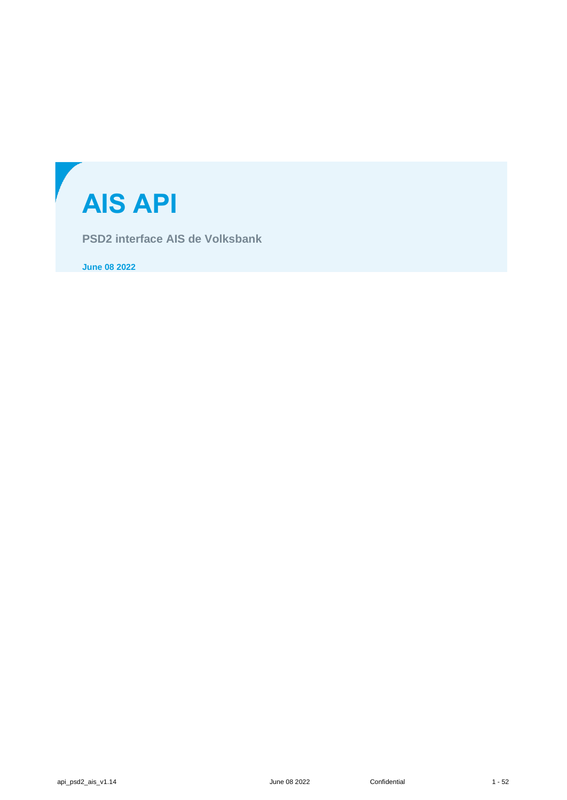

**PSD2 interface AIS de Volksbank**

**June 08 2022**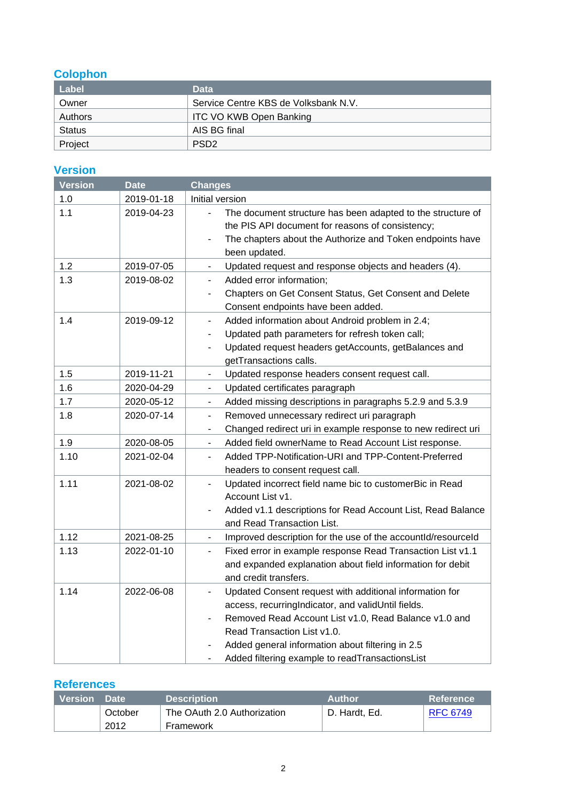# **Colophon**

| Label         | <b>Data</b>                          |  |  |
|---------------|--------------------------------------|--|--|
| Owner         | Service Centre KBS de Volksbank N.V. |  |  |
| Authors       | <b>ITC VO KWB Open Banking</b>       |  |  |
| <b>Status</b> | AIS BG final                         |  |  |
| Project       | PSD <sub>2</sub>                     |  |  |

## **Version**

| <b>Version</b> | <b>Date</b> | <b>Changes</b>                                                                                                                                                                                                                                                                                                     |  |  |
|----------------|-------------|--------------------------------------------------------------------------------------------------------------------------------------------------------------------------------------------------------------------------------------------------------------------------------------------------------------------|--|--|
| 1.0            | 2019-01-18  | Initial version                                                                                                                                                                                                                                                                                                    |  |  |
| 1.1            | 2019-04-23  | The document structure has been adapted to the structure of<br>the PIS API document for reasons of consistency;<br>The chapters about the Authorize and Token endpoints have<br>been updated.                                                                                                                      |  |  |
| 1.2            | 2019-07-05  | Updated request and response objects and headers (4).<br>$\overline{\phantom{0}}$                                                                                                                                                                                                                                  |  |  |
| 1.3            | 2019-08-02  | Added error information;<br>$\overline{\phantom{0}}$<br>Chapters on Get Consent Status, Get Consent and Delete<br>Consent endpoints have been added.                                                                                                                                                               |  |  |
| 1.4            | 2019-09-12  | Added information about Android problem in 2.4;<br>$\blacksquare$<br>Updated path parameters for refresh token call;<br>$\overline{\phantom{0}}$<br>Updated request headers getAccounts, getBalances and<br>$\qquad \qquad \blacksquare$<br>getTransactions calls.                                                 |  |  |
| 1.5            | 2019-11-21  | Updated response headers consent request call.<br>$\overline{\phantom{0}}$                                                                                                                                                                                                                                         |  |  |
| 1.6            | 2020-04-29  | Updated certificates paragraph<br>$\overline{\phantom{a}}$                                                                                                                                                                                                                                                         |  |  |
| 1.7            | 2020-05-12  | Added missing descriptions in paragraphs 5.2.9 and 5.3.9<br>$\blacksquare$                                                                                                                                                                                                                                         |  |  |
| 1.8            | 2020-07-14  | Removed unnecessary redirect uri paragraph<br>$\blacksquare$<br>Changed redirect uri in example response to new redirect uri<br>$\overline{\phantom{a}}$                                                                                                                                                           |  |  |
| 1.9            | 2020-08-05  | Added field ownerName to Read Account List response.                                                                                                                                                                                                                                                               |  |  |
| 1.10           | 2021-02-04  | Added TPP-Notification-URI and TPP-Content-Preferred<br>$\overline{\phantom{a}}$<br>headers to consent request call.                                                                                                                                                                                               |  |  |
| 1.11           | 2021-08-02  | Updated incorrect field name bic to customerBic in Read<br>$\frac{1}{2}$<br>Account List v1.<br>Added v1.1 descriptions for Read Account List, Read Balance<br>$\frac{1}{2}$<br>and Read Transaction List.                                                                                                         |  |  |
| 1.12           | 2021-08-25  | Improved description for the use of the accountId/resourceId<br>$\overline{\phantom{a}}$                                                                                                                                                                                                                           |  |  |
| 1.13           | 2022-01-10  | Fixed error in example response Read Transaction List v1.1<br>٠<br>and expanded explanation about field information for debit<br>and credit transfers.                                                                                                                                                             |  |  |
| 1.14           | 2022-06-08  | Updated Consent request with additional information for<br>÷.<br>access, recurringIndicator, and validUntil fields.<br>Removed Read Account List v1.0, Read Balance v1.0 and<br>Read Transaction List v1.0.<br>Added general information about filtering in 2.5<br>Added filtering example to readTransactionsList |  |  |

## **References**

| <b>Version</b> | Date <sup>1</sup> | <b>Description</b>          | <b>Author</b> | <b>Reference</b> |
|----------------|-------------------|-----------------------------|---------------|------------------|
|                | October           | The OAuth 2.0 Authorization | D. Hardt. Ed. | <b>RFC 6749</b>  |
|                | 2012              | Framework                   |               |                  |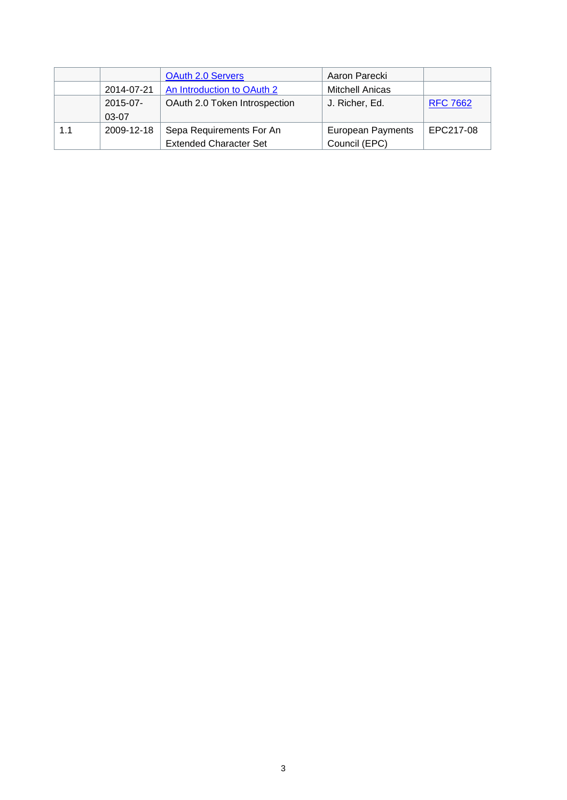|     |               | OAuth 2.0 Servers             | Aaron Parecki            |                 |
|-----|---------------|-------------------------------|--------------------------|-----------------|
|     | 2014-07-21    | An Introduction to OAuth 2    | <b>Mitchell Anicas</b>   |                 |
|     | $2015 - 07 -$ | OAuth 2.0 Token Introspection | J. Richer, Ed.           | <b>RFC 7662</b> |
|     | $03-07$       |                               |                          |                 |
| 1.1 | 2009-12-18    | Sepa Requirements For An      | <b>European Payments</b> | EPC217-08       |
|     |               | <b>Extended Character Set</b> | Council (EPC)            |                 |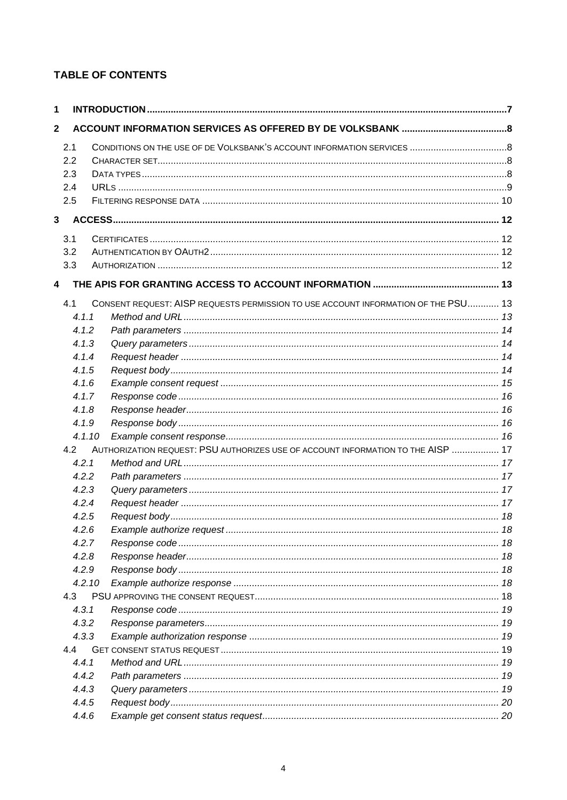## **TABLE OF CONTENTS**

| $\mathbf{1}$            |        |                                                                                    |  |  |  |  |  |  |
|-------------------------|--------|------------------------------------------------------------------------------------|--|--|--|--|--|--|
| $\overline{2}$          |        |                                                                                    |  |  |  |  |  |  |
|                         | 2.1    |                                                                                    |  |  |  |  |  |  |
|                         | 2.2    |                                                                                    |  |  |  |  |  |  |
|                         | 2.3    |                                                                                    |  |  |  |  |  |  |
|                         | 2.4    |                                                                                    |  |  |  |  |  |  |
|                         | 2.5    |                                                                                    |  |  |  |  |  |  |
| $\mathbf{3}$            |        |                                                                                    |  |  |  |  |  |  |
|                         | 3.1    |                                                                                    |  |  |  |  |  |  |
|                         | 3.2    |                                                                                    |  |  |  |  |  |  |
|                         | 3.3    |                                                                                    |  |  |  |  |  |  |
| $\overline{\mathbf{4}}$ |        |                                                                                    |  |  |  |  |  |  |
|                         | 4.1    | CONSENT REQUEST: AISP REQUESTS PERMISSION TO USE ACCOUNT INFORMATION OF THE PSU 13 |  |  |  |  |  |  |
|                         | 4.1.1  |                                                                                    |  |  |  |  |  |  |
|                         | 4.1.2  |                                                                                    |  |  |  |  |  |  |
|                         | 4.1.3  |                                                                                    |  |  |  |  |  |  |
|                         | 4.1.4  |                                                                                    |  |  |  |  |  |  |
|                         | 4.1.5  |                                                                                    |  |  |  |  |  |  |
|                         | 4.1.6  |                                                                                    |  |  |  |  |  |  |
|                         | 4.1.7  |                                                                                    |  |  |  |  |  |  |
|                         | 4.1.8  |                                                                                    |  |  |  |  |  |  |
|                         | 4.1.9  |                                                                                    |  |  |  |  |  |  |
|                         | 4.1.10 |                                                                                    |  |  |  |  |  |  |
|                         | 4.2    | AUTHORIZATION REQUEST: PSU AUTHORIZES USE OF ACCOUNT INFORMATION TO THE AISP  17   |  |  |  |  |  |  |
|                         | 4.2.1  |                                                                                    |  |  |  |  |  |  |
|                         | 4.2.2  |                                                                                    |  |  |  |  |  |  |
|                         | 4.2.3  |                                                                                    |  |  |  |  |  |  |
|                         | 4.2.4  |                                                                                    |  |  |  |  |  |  |
|                         | 4.2.5  |                                                                                    |  |  |  |  |  |  |
|                         | 4.2.6  |                                                                                    |  |  |  |  |  |  |
|                         | 4.2.7  |                                                                                    |  |  |  |  |  |  |
|                         | 4.2.8  |                                                                                    |  |  |  |  |  |  |
|                         | 4.2.9  |                                                                                    |  |  |  |  |  |  |
|                         | 4.2.10 |                                                                                    |  |  |  |  |  |  |
|                         | 4.3    |                                                                                    |  |  |  |  |  |  |
|                         | 4.3.1  |                                                                                    |  |  |  |  |  |  |
|                         | 4.3.2  |                                                                                    |  |  |  |  |  |  |
|                         | 4.3.3  |                                                                                    |  |  |  |  |  |  |
|                         | 4.4    |                                                                                    |  |  |  |  |  |  |
|                         | 4.4.1  |                                                                                    |  |  |  |  |  |  |
|                         | 4.4.2  |                                                                                    |  |  |  |  |  |  |
|                         | 4.4.3  |                                                                                    |  |  |  |  |  |  |
|                         | 4.4.5  |                                                                                    |  |  |  |  |  |  |
|                         | 4.4.6  |                                                                                    |  |  |  |  |  |  |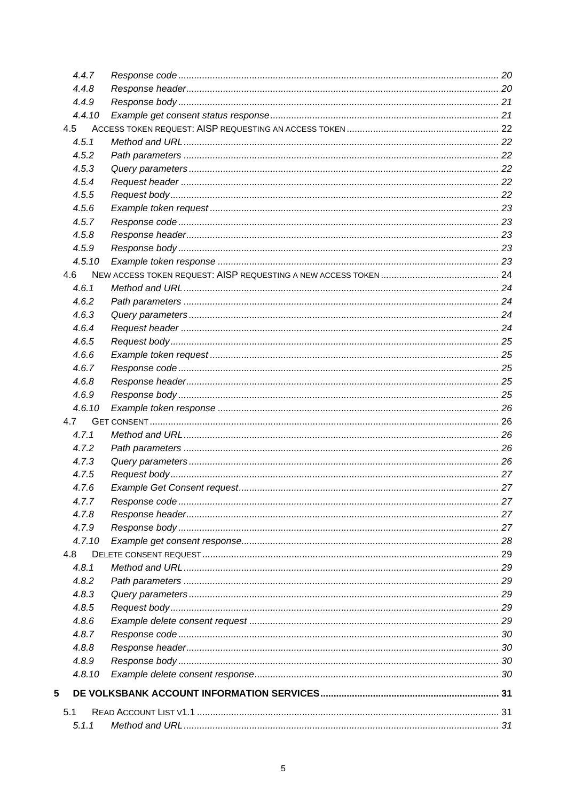| 4.4.7  |  |
|--------|--|
| 4.4.8  |  |
| 4.4.9  |  |
| 4.4.10 |  |
| 4.5    |  |
| 4.5.1  |  |
| 4.5.2  |  |
| 4.5.3  |  |
| 4.5.4  |  |
| 4.5.5  |  |
| 4.5.6  |  |
| 4.5.7  |  |
| 4.5.8  |  |
| 4.5.9  |  |
| 4.5.10 |  |
| 4.6    |  |
| 4.6.1  |  |
| 4.6.2  |  |
| 4.6.3  |  |
| 4.6.4  |  |
| 4.6.5  |  |
| 4.6.6  |  |
| 4.6.7  |  |
| 4.6.8  |  |
| 4.6.9  |  |
| 4.6.10 |  |
| 4.7    |  |
| 4.7.1  |  |
| 4.7.2  |  |
| 4.7.3  |  |
| 4.7.5  |  |
| 4.7.6  |  |
| 4.7.7  |  |
| 4.7.8  |  |
| 4.7.9  |  |
| 4.7.10 |  |
| 4.8    |  |
| 4.8.1  |  |
| 4.8.2  |  |
| 4.8.3  |  |
| 4.8.5  |  |
| 4.8.6  |  |
| 4.8.7  |  |
| 4.8.8  |  |
| 4.8.9  |  |
| 4.8.10 |  |
| 5      |  |
| 5.1    |  |
| 5.1.1  |  |
|        |  |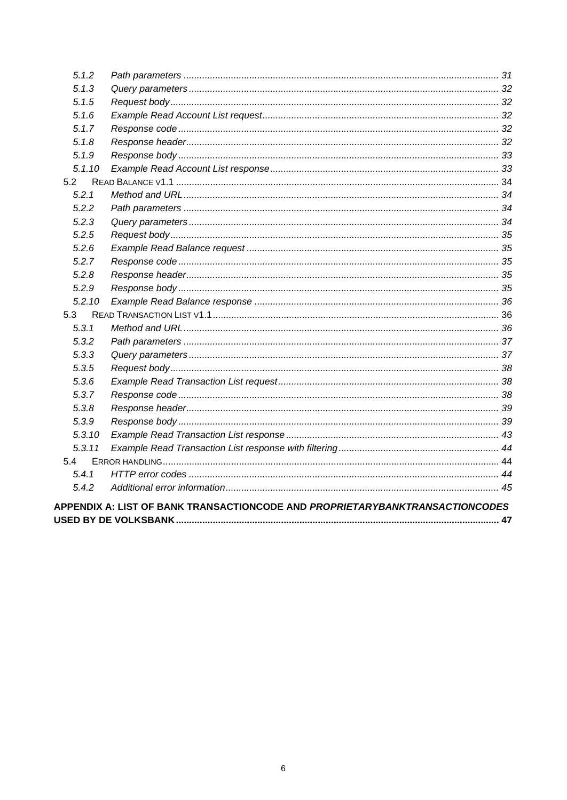| 5.1.2                                                                        |  |  |  |  |
|------------------------------------------------------------------------------|--|--|--|--|
| 5.1.3                                                                        |  |  |  |  |
| 5.1.5                                                                        |  |  |  |  |
| 5.1.6                                                                        |  |  |  |  |
| 5.1.7                                                                        |  |  |  |  |
| 5.1.8                                                                        |  |  |  |  |
| 5.1.9                                                                        |  |  |  |  |
| 5.1.10                                                                       |  |  |  |  |
| 5.2                                                                          |  |  |  |  |
| 5.2.1                                                                        |  |  |  |  |
| 5.2.2                                                                        |  |  |  |  |
| 5.2.3                                                                        |  |  |  |  |
| 5.2.5                                                                        |  |  |  |  |
| 5.2.6                                                                        |  |  |  |  |
| 5.2.7                                                                        |  |  |  |  |
| 5.2.8                                                                        |  |  |  |  |
| 5.2.9                                                                        |  |  |  |  |
| 5.2.10                                                                       |  |  |  |  |
| 5.3                                                                          |  |  |  |  |
| 5, 3, 1                                                                      |  |  |  |  |
| 5.3.2                                                                        |  |  |  |  |
| 5.3.3                                                                        |  |  |  |  |
| 5.3.5                                                                        |  |  |  |  |
| 5.3.6                                                                        |  |  |  |  |
| 5.3.7                                                                        |  |  |  |  |
| 5.3.8                                                                        |  |  |  |  |
| 5.3.9                                                                        |  |  |  |  |
| 5.3.10                                                                       |  |  |  |  |
| 5.3.11                                                                       |  |  |  |  |
| 5.4                                                                          |  |  |  |  |
| 5.4.1                                                                        |  |  |  |  |
| 5.4.2                                                                        |  |  |  |  |
| APPENDIX A: LIST OF BANK TRANSACTIONCODE AND PROPRIETARYBANKTRANSACTIONCODES |  |  |  |  |
|                                                                              |  |  |  |  |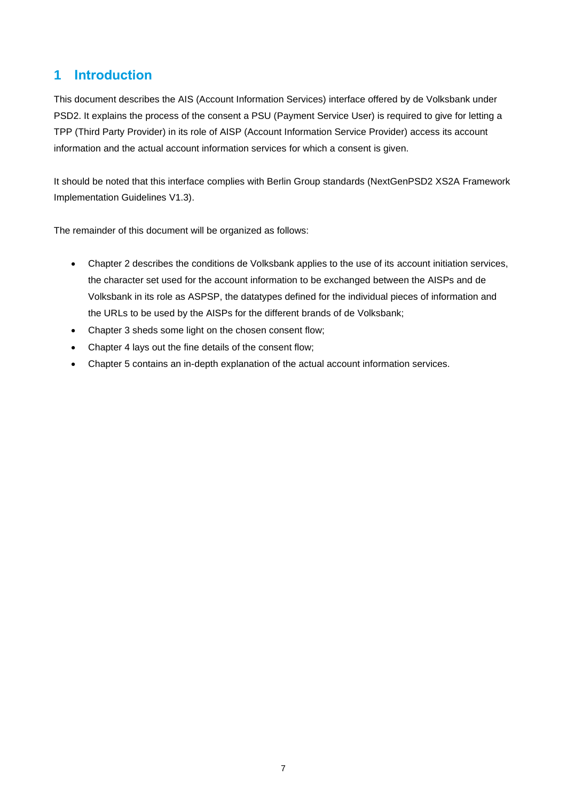# <span id="page-6-0"></span>**1 Introduction**

This document describes the AIS (Account Information Services) interface offered by de Volksbank under PSD2. It explains the process of the consent a PSU (Payment Service User) is required to give for letting a TPP (Third Party Provider) in its role of AISP (Account Information Service Provider) access its account information and the actual account information services for which a consent is given.

It should be noted that this interface complies with Berlin Group standards (NextGenPSD2 XS2A Framework Implementation Guidelines V1.3).

The remainder of this document will be organized as follows:

- Chapter 2 describes the conditions de Volksbank applies to the use of its account initiation services, the character set used for the account information to be exchanged between the AISPs and de Volksbank in its role as ASPSP, the datatypes defined for the individual pieces of information and the URLs to be used by the AISPs for the different brands of de Volksbank;
- Chapter 3 sheds some light on the chosen consent flow;
- Chapter 4 lays out the fine details of the consent flow;
- Chapter 5 contains an in-depth explanation of the actual account information services.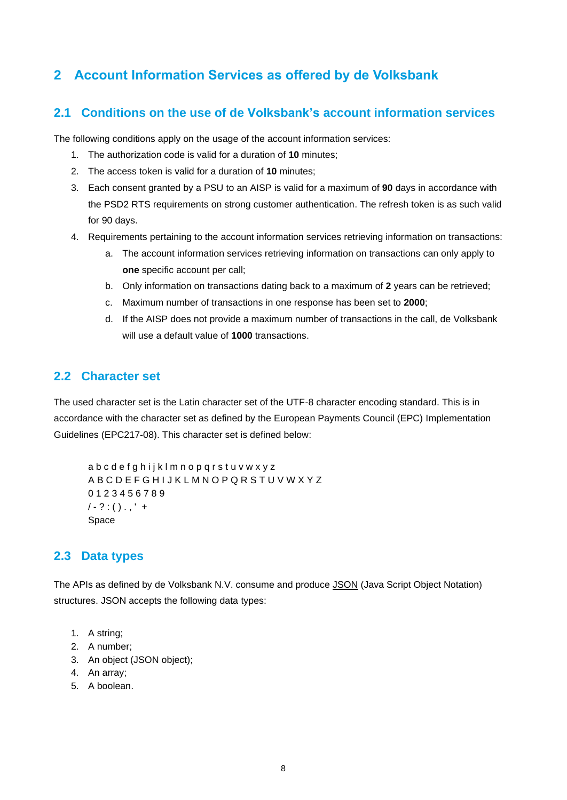# <span id="page-7-0"></span>**2 Account Information Services as offered by de Volksbank**

## <span id="page-7-1"></span>**2.1 Conditions on the use of de Volksbank's account information services**

The following conditions apply on the usage of the account information services:

- 1. The authorization code is valid for a duration of **10** minutes;
- 2. The access token is valid for a duration of **10** minutes;
- 3. Each consent granted by a PSU to an AISP is valid for a maximum of **90** days in accordance with the PSD2 RTS requirements on strong customer authentication. The refresh token is as such valid for 90 days.
- 4. Requirements pertaining to the account information services retrieving information on transactions:
	- a. The account information services retrieving information on transactions can only apply to **one** specific account per call;
	- b. Only information on transactions dating back to a maximum of **2** years can be retrieved;
	- c. Maximum number of transactions in one response has been set to **2000**;
	- d. If the AISP does not provide a maximum number of transactions in the call, de Volksbank will use a default value of **1000** transactions.

## <span id="page-7-2"></span>**2.2 Character set**

The used character set is the Latin character set of the UTF-8 character encoding standard. This is in accordance with the character set as defined by the European Payments Council (EPC) Implementation Guidelines (EPC217-08). This character set is defined below:

```
a b c d e f g h i j k l m n o p q r s t u v w x y z
A B C D E F G H I J K L M N O P Q R S T U V W X Y Z
0 1 2 3 4 5 6 7 8 9
/ - ? : () . ,' +Space
```
## <span id="page-7-3"></span>**2.3 Data types**

The APIs as defined by de Volksbank N.V. consume and produce JSON (Java Script Object Notation) structures. JSON accepts the following data types:

- 1. A string;
- 2. A number;
- 3. An object (JSON object);
- 4. An array;
- 5. A boolean.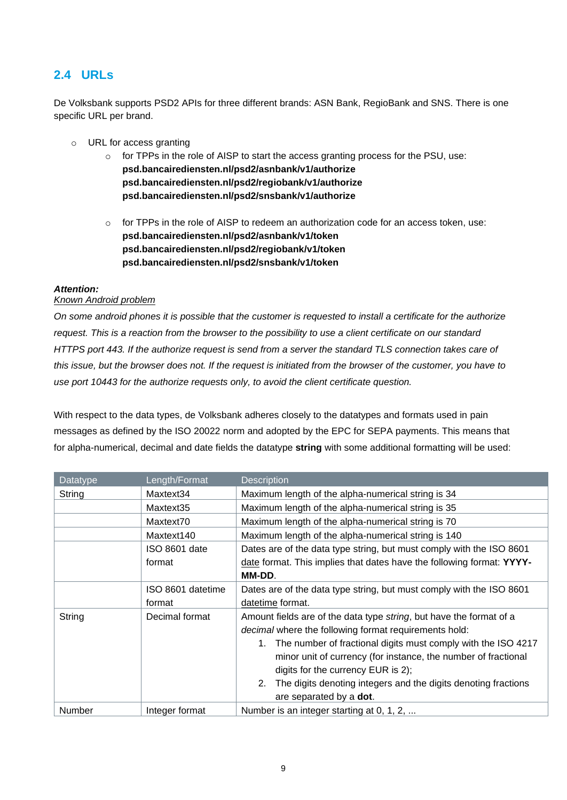# <span id="page-8-0"></span>**2.4 URLs**

De Volksbank supports PSD2 APIs for three different brands: ASN Bank, RegioBank and SNS. There is one specific URL per brand.

- o URL for access granting
	- $\circ$  for TPPs in the role of AISP to start the access granting process for the PSU, use: **psd.bancairediensten.nl/psd2/asnbank/v1/authorize psd.bancairediensten.nl/psd2/regiobank/v1/authorize psd.bancairediensten.nl/psd2/snsbank/v1/authorize**
	- $\circ$  for TPPs in the role of AISP to redeem an authorization code for an access token, use: **psd.bancairediensten.nl/psd2/asnbank/v1/token psd.bancairediensten.nl/psd2/regiobank/v1/token psd.bancairediensten.nl/psd2/snsbank/v1/token**

### *Attention:*

### *Known Android problem*

*On some android phones it is possible that the customer is requested to install a certificate for the authorize request. This is a reaction from the browser to the possibility to use a client certificate on our standard HTTPS port 443. If the authorize request is send from a server the standard TLS connection takes care of this issue, but the browser does not. If the request is initiated from the browser of the customer, you have to use port 10443 for the authorize requests only, to avoid the client certificate question.*

With respect to the data types, de Volksbank adheres closely to the datatypes and formats used in pain messages as defined by the ISO 20022 norm and adopted by the EPC for SEPA payments. This means that for alpha-numerical, decimal and date fields the datatype **string** with some additional formatting will be used:

| Datatype | Length/Format     | <b>Description</b>                                                               |  |
|----------|-------------------|----------------------------------------------------------------------------------|--|
| String   | Maxtext34         | Maximum length of the alpha-numerical string is 34                               |  |
|          | Maxtext35         | Maximum length of the alpha-numerical string is 35                               |  |
|          | Maxtext70         | Maximum length of the alpha-numerical string is 70                               |  |
|          | Maxtext140        | Maximum length of the alpha-numerical string is 140                              |  |
|          | ISO 8601 date     | Dates are of the data type string, but must comply with the ISO 8601             |  |
|          | format            | date format. This implies that dates have the following format: YYYY-            |  |
|          |                   | MM-DD.                                                                           |  |
|          | ISO 8601 datetime | Dates are of the data type string, but must comply with the ISO 8601             |  |
|          | format            | datetime format.                                                                 |  |
| String   | Decimal format    | Amount fields are of the data type string, but have the format of a              |  |
|          |                   | <i>decimal</i> where the following format requirements hold:                     |  |
|          |                   | The number of fractional digits must comply with the ISO 4217<br>1.              |  |
|          |                   | minor unit of currency (for instance, the number of fractional                   |  |
|          |                   | digits for the currency EUR is 2);                                               |  |
|          |                   | 2 <sub>1</sub><br>The digits denoting integers and the digits denoting fractions |  |
|          |                   | are separated by a dot.                                                          |  |
| Number   | Integer format    | Number is an integer starting at 0, 1, 2,                                        |  |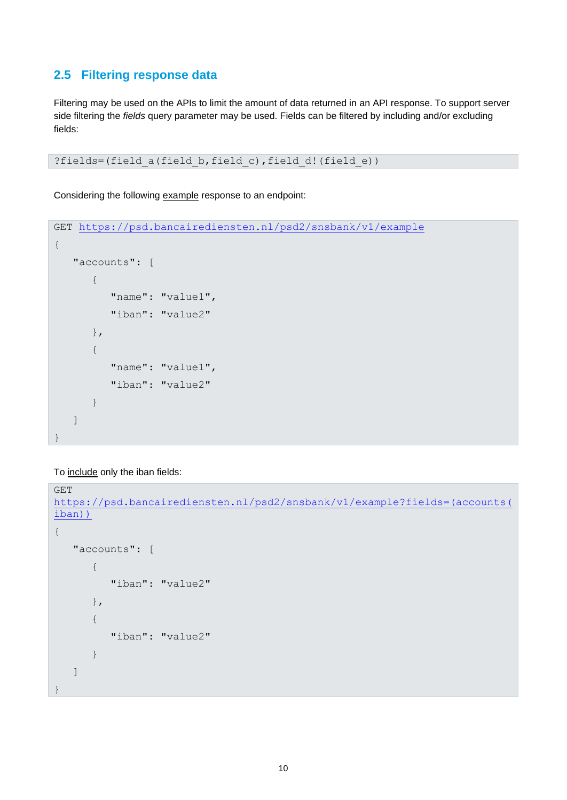## <span id="page-9-0"></span>**2.5 Filtering response data**

Filtering may be used on the APIs to limit the amount of data returned in an API response. To support server side filtering the *fields* query parameter may be used. Fields can be filtered by including and/or excluding fields:

?fields=(field a(field b, field c), field d!(field e))

Considering the following example response to an endpoint:

```
GET https://psd.bancairediensten.nl/psd2/snsbank/v1/example
{
    "accounts": [
        { 
          "name": "value1",
           "iban": "value2" 
        },
        {
           "name": "value1",
           "iban": "value2"
        }
    ]
```
To include only the iban fields:

}

```
GET
https://psd.bancairediensten.nl/psd2/snsbank/v1/example?fields=(accounts(
iban))
{
    "accounts": [
        { 
           "iban": "value2" 
        },
        {
           "iban": "value2"
       }
    ]
}
```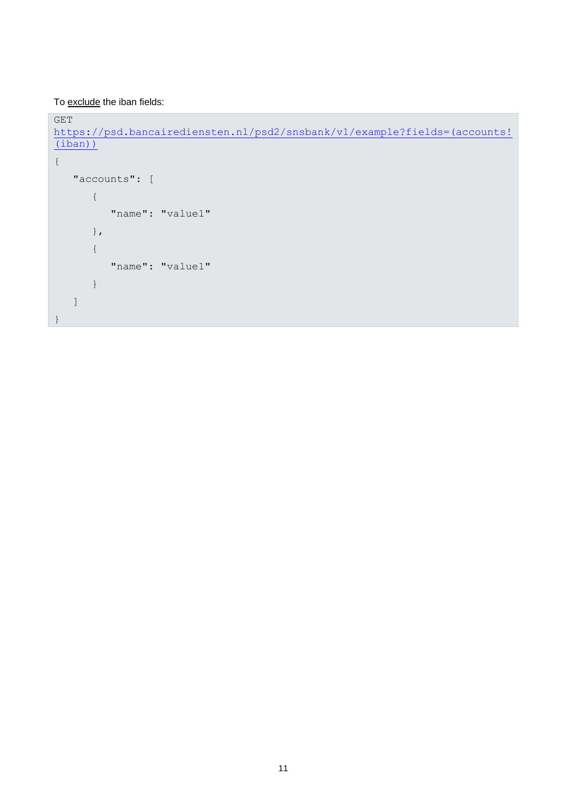To exclude the iban fields:

GET https://psd.bancairediensten.nl/psd2/snsbank/v1/example?fields=(accounts! (iban))

```
{
    "accounts": [
        { 
            "name": "value1" 
        },
        {
            "name": "value1"
        }
   \, ]
}
```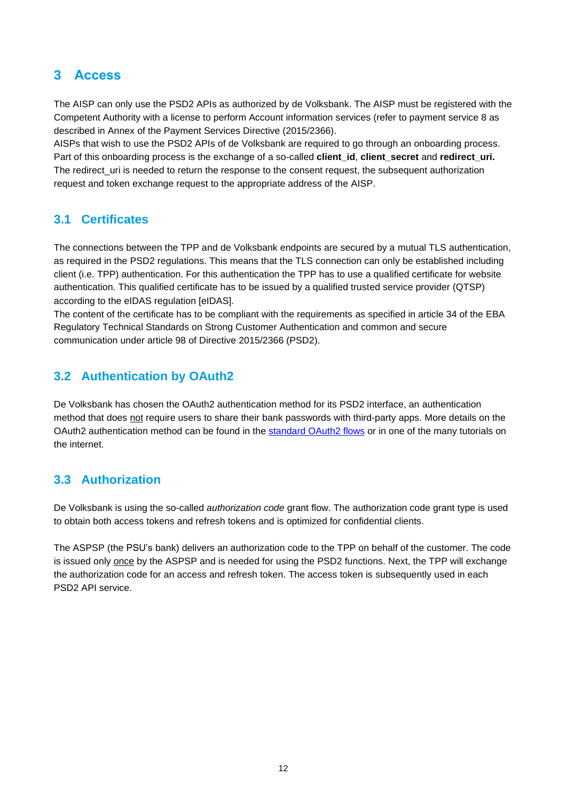# <span id="page-11-0"></span>**3 Access**

The AISP can only use the PSD2 APIs as authorized by de Volksbank. The AISP must be registered with the Competent Authority with a license to perform Account information services (refer to payment service 8 as described in Annex of the Payment Services Directive (2015/2366).

AISPs that wish to use the PSD2 APIs of de Volksbank are required to go through an onboarding process. Part of this onboarding process is the exchange of a so-called **client\_id**, **client\_secret** and **redirect\_uri.** The redirect\_uri is needed to return the response to the consent request, the subsequent authorization request and token exchange request to the appropriate address of the AISP.

# <span id="page-11-1"></span>**3.1 Certificates**

The connections between the TPP and de Volksbank endpoints are secured by a mutual TLS authentication, as required in the PSD2 regulations. This means that the TLS connection can only be established including client (i.e. TPP) authentication. For this authentication the TPP has to use a qualified certificate for website authentication. This qualified certificate has to be issued by a qualified trusted service provider (QTSP) according to the eIDAS regulation [eIDAS].

The content of the certificate has to be compliant with the requirements as specified in article 34 of the EBA Regulatory Technical Standards on Strong Customer Authentication and common and secure communication under article 98 of Directive 2015/2366 (PSD2).

# <span id="page-11-2"></span>**3.2 Authentication by OAuth2**

De Volksbank has chosen the OAuth2 authentication method for its PSD2 interface, an authentication method that does not require users to share their bank passwords with third-party apps. More details on the OAuth2 authentication method can be found in the [standard OAuth2 flows](https://tools.ietf.org/html/rfc6749) or in one of the many tutorials on the internet.

# <span id="page-11-3"></span>**3.3 Authorization**

De Volksbank is using the so-called *authorization code* grant flow. The authorization code grant type is used to obtain both access tokens and refresh tokens and is optimized for confidential clients.

The ASPSP (the PSU's bank) delivers an authorization code to the TPP on behalf of the customer. The code is issued only once by the ASPSP and is needed for using the PSD2 functions. Next, the TPP will exchange the authorization code for an access and refresh token. The access token is subsequently used in each PSD2 API service.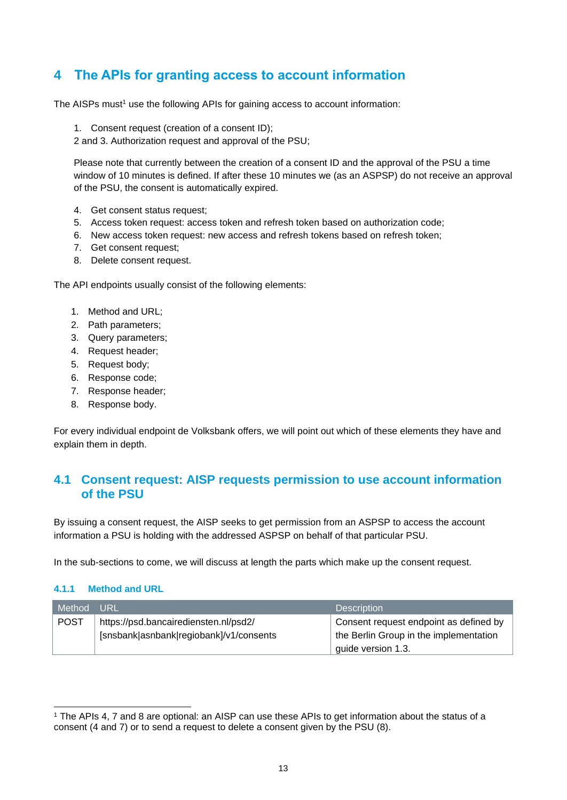# <span id="page-12-0"></span>**4 The APIs for granting access to account information**

The AISPs must<sup>1</sup> use the following APIs for gaining access to account information:

1. Consent request (creation of a consent ID);

2 and 3. Authorization request and approval of the PSU;

Please note that currently between the creation of a consent ID and the approval of the PSU a time window of 10 minutes is defined. If after these 10 minutes we (as an ASPSP) do not receive an approval of the PSU, the consent is automatically expired.

- 4. Get consent status request;
- 5. Access token request: access token and refresh token based on authorization code;
- 6. New access token request: new access and refresh tokens based on refresh token;
- 7. Get consent request;
- 8. Delete consent request.

The API endpoints usually consist of the following elements:

- 1. Method and URL;
- 2. Path parameters;
- 3. Query parameters;
- 4. Request header;
- 5. Request body;
- 6. Response code;
- 7. Response header;
- 8. Response body.

For every individual endpoint de Volksbank offers, we will point out which of these elements they have and explain them in depth.

## <span id="page-12-1"></span>**4.1 Consent request: AISP requests permission to use account information of the PSU**

By issuing a consent request, the AISP seeks to get permission from an ASPSP to access the account information a PSU is holding with the addressed ASPSP on behalf of that particular PSU.

In the sub-sections to come, we will discuss at length the parts which make up the consent request.

### <span id="page-12-2"></span>**4.1.1 Method and URL**

| Method      | TURL                                    | <b>Description</b>                     |
|-------------|-----------------------------------------|----------------------------------------|
| <b>POST</b> | https://psd.bancairediensten.nl/psd2/   | Consent request endpoint as defined by |
|             | [snsbank]asnbank]regiobank]/v1/consents | the Berlin Group in the implementation |
|             |                                         | guide version 1.3.                     |

<sup>1</sup> The APIs 4, 7 and 8 are optional: an AISP can use these APIs to get information about the status of a consent (4 and 7) or to send a request to delete a consent given by the PSU (8).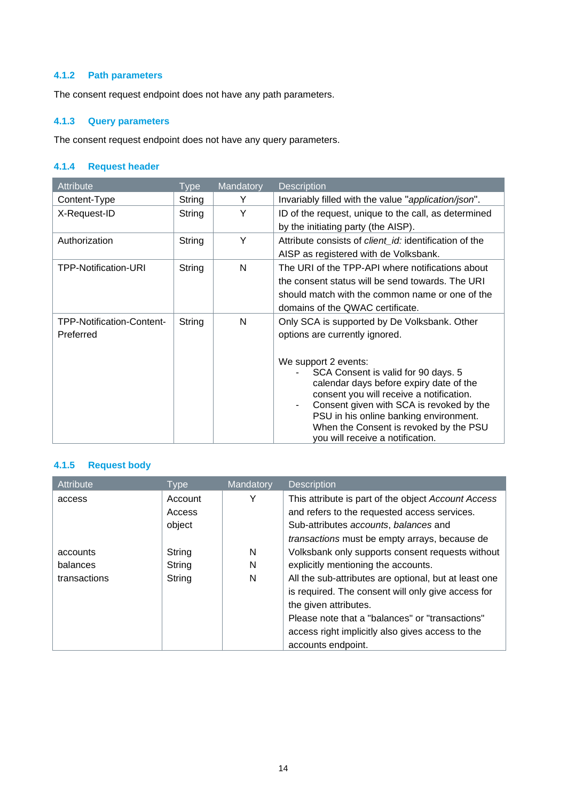### <span id="page-13-0"></span>**4.1.2 Path parameters**

The consent request endpoint does not have any path parameters.

## <span id="page-13-1"></span>**4.1.3 Query parameters**

The consent request endpoint does not have any query parameters.

## <span id="page-13-2"></span>**4.1.4 Request header**

| <b>Attribute</b>                       | <b>Type</b> | Mandatory | <b>Description</b>                                                                                                                                                                                                                                                                                                                           |
|----------------------------------------|-------------|-----------|----------------------------------------------------------------------------------------------------------------------------------------------------------------------------------------------------------------------------------------------------------------------------------------------------------------------------------------------|
| Content-Type                           | String      | Y         | Invariably filled with the value "application/json".                                                                                                                                                                                                                                                                                         |
| X-Request-ID                           | String      | Y         | ID of the request, unique to the call, as determined<br>by the initiating party (the AISP).                                                                                                                                                                                                                                                  |
| Authorization                          | String      | Y         | Attribute consists of <i>client id:</i> identification of the<br>AISP as registered with de Volksbank.                                                                                                                                                                                                                                       |
| <b>TPP-Notification-URI</b>            | String      | N         | The URI of the TPP-API where notifications about<br>the consent status will be send towards. The URI<br>should match with the common name or one of the<br>domains of the QWAC certificate.                                                                                                                                                  |
| TPP-Notification-Content-<br>Preferred | String      | N         | Only SCA is supported by De Volksbank. Other<br>options are currently ignored.<br>We support 2 events:<br>SCA Consent is valid for 90 days. 5<br>calendar days before expiry date of the<br>consent you will receive a notification.<br>Consent given with SCA is revoked by the<br>$\blacksquare$<br>PSU in his online banking environment. |
|                                        |             |           | When the Consent is revoked by the PSU<br>you will receive a notification.                                                                                                                                                                                                                                                                   |

## <span id="page-13-3"></span>**4.1.5 Request body**

| Attribute    | <b>Type</b> | Mandatory | <b>Description</b>                                    |
|--------------|-------------|-----------|-------------------------------------------------------|
| access       | Account     | Y         | This attribute is part of the object Account Access   |
|              | Access      |           | and refers to the requested access services.          |
|              | object      |           | Sub-attributes accounts, balances and                 |
|              |             |           | transactions must be empty arrays, because de         |
| accounts     | String      | N         | Volksbank only supports consent requests without      |
| balances     | String      | N         | explicitly mentioning the accounts.                   |
| transactions | String      | N         | All the sub-attributes are optional, but at least one |
|              |             |           | is required. The consent will only give access for    |
|              |             |           | the given attributes.                                 |
|              |             |           | Please note that a "balances" or "transactions"       |
|              |             |           | access right implicitly also gives access to the      |
|              |             |           | accounts endpoint.                                    |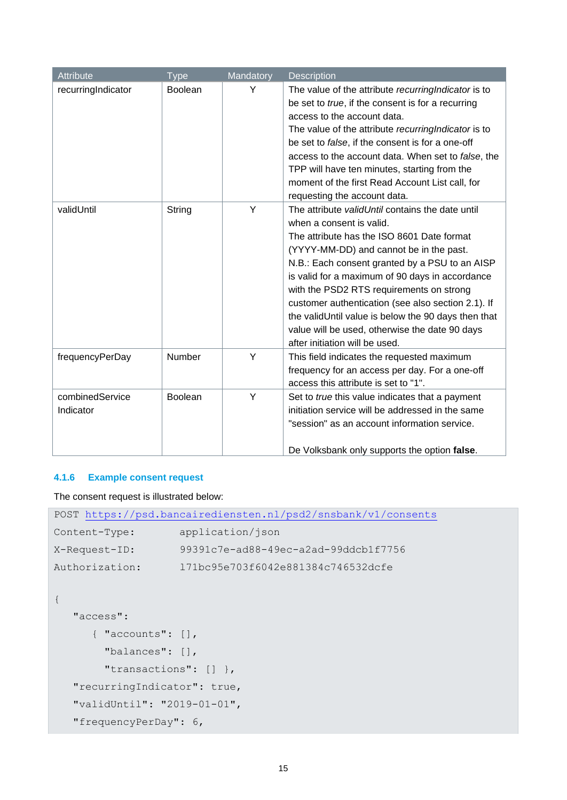| <b>Attribute</b>             | <b>Type</b>    | Mandatory | <b>Description</b>                                                                                                                                                                                                                                                                                                                                                                                                                                                                                                      |
|------------------------------|----------------|-----------|-------------------------------------------------------------------------------------------------------------------------------------------------------------------------------------------------------------------------------------------------------------------------------------------------------------------------------------------------------------------------------------------------------------------------------------------------------------------------------------------------------------------------|
| recurringIndicator           | <b>Boolean</b> | Y         | The value of the attribute recurring Indicator is to<br>be set to true, if the consent is for a recurring<br>access to the account data.<br>The value of the attribute recurring Indicator is to<br>be set to false, if the consent is for a one-off<br>access to the account data. When set to false, the<br>TPP will have ten minutes, starting from the<br>moment of the first Read Account List call, for<br>requesting the account data.                                                                           |
| validUntil                   | String         | Y         | The attribute validUntil contains the date until<br>when a consent is valid.<br>The attribute has the ISO 8601 Date format<br>(YYYY-MM-DD) and cannot be in the past.<br>N.B.: Each consent granted by a PSU to an AISP<br>is valid for a maximum of 90 days in accordance<br>with the PSD2 RTS requirements on strong<br>customer authentication (see also section 2.1). If<br>the validUntil value is below the 90 days then that<br>value will be used, otherwise the date 90 days<br>after initiation will be used. |
| frequencyPerDay              | <b>Number</b>  | Y         | This field indicates the requested maximum<br>frequency for an access per day. For a one-off<br>access this attribute is set to "1".                                                                                                                                                                                                                                                                                                                                                                                    |
| combinedService<br>Indicator | <b>Boolean</b> | Y         | Set to true this value indicates that a payment<br>initiation service will be addressed in the same<br>"session" as an account information service.<br>De Volksbank only supports the option false.                                                                                                                                                                                                                                                                                                                     |

## <span id="page-14-0"></span>**4.1.6 Example consent request**

The consent request is illustrated below:

| POST https://psd.bancairediensten.nl/psd2/snsbank/v1/consents |                                      |  |  |  |
|---------------------------------------------------------------|--------------------------------------|--|--|--|
| Content-Type:                                                 | application/json                     |  |  |  |
| X-Request-ID:                                                 | 99391c7e-ad88-49ec-a2ad-99ddcb1f7756 |  |  |  |
| Authorization:                                                | 171bc95e703f6042e881384c746532dcfe   |  |  |  |
|                                                               |                                      |  |  |  |
|                                                               |                                      |  |  |  |
| "access":                                                     |                                      |  |  |  |
| $\{$ "accounts": $\lceil \cdot \rceil$ ,                      |                                      |  |  |  |
| "balances": $\lceil \cdot \rceil$ ,                           |                                      |  |  |  |
| "transactions": $[1]$ ,                                       |                                      |  |  |  |
| "recurringIndicator": true,                                   |                                      |  |  |  |
| "validUntil": "2019-01-01",                                   |                                      |  |  |  |
| "frequencyPerDay": 6,                                         |                                      |  |  |  |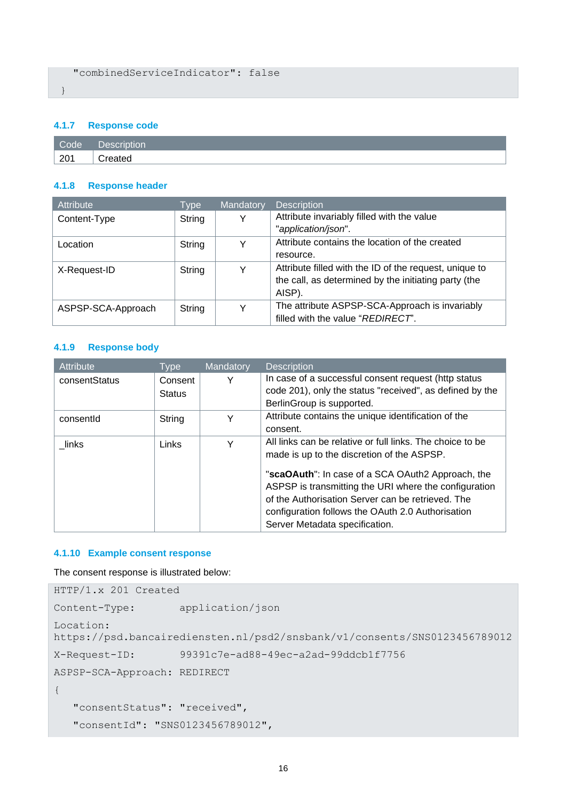## <span id="page-15-0"></span>**4.1.7 Response code**

| Code | Description |
|------|-------------|
| 201  | reater.     |

### <span id="page-15-1"></span>**4.1.8 Response header**

| Attribute          | Type   | Mandatory | <b>Description</b>                                     |
|--------------------|--------|-----------|--------------------------------------------------------|
| Content-Type       | String |           | Attribute invariably filled with the value             |
|                    |        |           | "application/json".                                    |
| Location           | String |           | Attribute contains the location of the created         |
|                    |        |           | resource.                                              |
| X-Request-ID       | String |           | Attribute filled with the ID of the request, unique to |
|                    |        |           | the call, as determined by the initiating party (the   |
|                    |        |           | AISP).                                                 |
| ASPSP-SCA-Approach | String |           | The attribute ASPSP-SCA-Approach is invariably         |
|                    |        |           | filled with the value "REDIRECT".                      |

#### <span id="page-15-2"></span>**4.1.9 Response body**

| <b>Attribute</b> | Type          | Mandatory | <b>Description</b>                                        |
|------------------|---------------|-----------|-----------------------------------------------------------|
| consentStatus    | Consent       |           | In case of a successful consent request (http status      |
|                  | <b>Status</b> |           | code 201), only the status "received", as defined by the  |
|                  |               |           | BerlinGroup is supported.                                 |
| consentid        | String        | v         | Attribute contains the unique identification of the       |
|                  |               |           | consent.                                                  |
| links            | <b>Links</b>  | v         | All links can be relative or full links. The choice to be |
|                  |               |           | made is up to the discretion of the ASPSP.                |
|                  |               |           | "scaOAuth": In case of a SCA OAuth2 Approach, the         |
|                  |               |           | ASPSP is transmitting the URI where the configuration     |
|                  |               |           | of the Authorisation Server can be retrieved. The         |
|                  |               |           | configuration follows the OAuth 2.0 Authorisation         |
|                  |               |           | Server Metadata specification.                            |

### <span id="page-15-3"></span>**4.1.10 Example consent response**

The consent response is illustrated below:

```
HTTP/1.x 201 Created
Content-Type: application/json
Location: 
https://psd.bancairediensten.nl/psd2/snsbank/v1/consents/SNS0123456789012
X-Request-ID: 99391c7e-ad88-49ec-a2ad-99ddcb1f7756
ASPSP-SCA-Approach: REDIRECT 
{
    "consentStatus": "received",
    "consentId": "SNS0123456789012",
```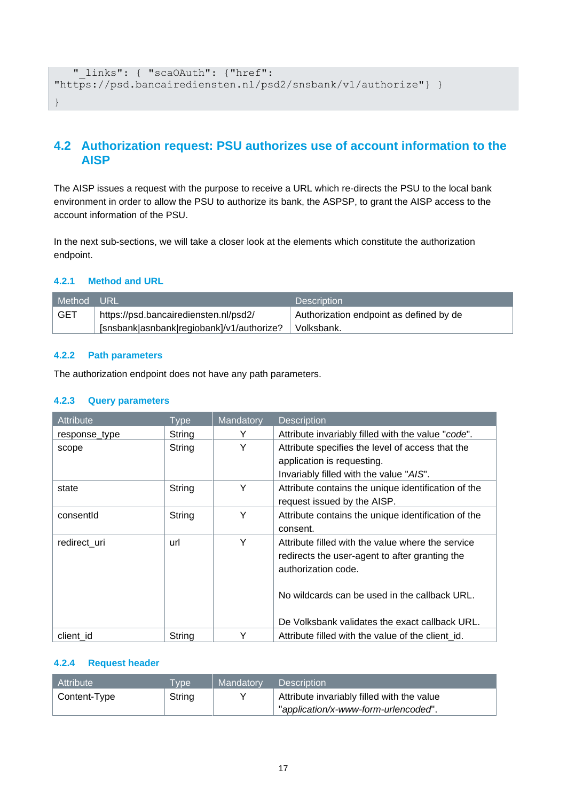```
 "_links": { "scaOAuth": {"href": 
"https://psd.bancairediensten.nl/psd2/snsbank/v1/authorize"} }
}
```
# <span id="page-16-0"></span>**4.2 Authorization request: PSU authorizes use of account information to the AISP**

The AISP issues a request with the purpose to receive a URL which re-directs the PSU to the local bank environment in order to allow the PSU to authorize its bank, the ASPSP, to grant the AISP access to the account information of the PSU.

In the next sub-sections, we will take a closer look at the elements which constitute the authorization endpoint.

### <span id="page-16-1"></span>**4.2.1 Method and URL**

| Method     | . URL'                                    | <b>Description</b>                      |
|------------|-------------------------------------------|-----------------------------------------|
| <b>GET</b> | https://psd.bancairediensten.nl/psd2/     | Authorization endpoint as defined by de |
|            | [snsbank asnbank regiobank]/v1/authorize? | Volksbank.                              |

### <span id="page-16-2"></span>**4.2.2 Path parameters**

The authorization endpoint does not have any path parameters.

### <span id="page-16-3"></span>**4.2.3 Query parameters**

| <b>Attribute</b> | <b>Type</b> | Mandatory | <b>Description</b>                                                                                                                                                                                                            |
|------------------|-------------|-----------|-------------------------------------------------------------------------------------------------------------------------------------------------------------------------------------------------------------------------------|
| response_type    | String      | Y         | Attribute invariably filled with the value "code".                                                                                                                                                                            |
| scope            | String      | Y         | Attribute specifies the level of access that the<br>application is requesting.<br>Invariably filled with the value "AIS".                                                                                                     |
| state            | String      | Y         | Attribute contains the unique identification of the<br>request issued by the AISP.                                                                                                                                            |
| consentid        | String      | Y         | Attribute contains the unique identification of the<br>consent.                                                                                                                                                               |
| redirect uri     | url         | Y         | Attribute filled with the value where the service<br>redirects the user-agent to after granting the<br>authorization code.<br>No wildcards can be used in the callback URL.<br>De Volksbank validates the exact callback URL. |
| client id        | String      | Y         | Attribute filled with the value of the client id.                                                                                                                                                                             |

### <span id="page-16-4"></span>**4.2.4 Request header**

| Attribute    | <b>VDe</b> | Mandatory                                  | <b>Description</b>                   |  |
|--------------|------------|--------------------------------------------|--------------------------------------|--|
| Content-Type | String     | Attribute invariably filled with the value |                                      |  |
|              |            |                                            | "application/x-www-form-urlencoded". |  |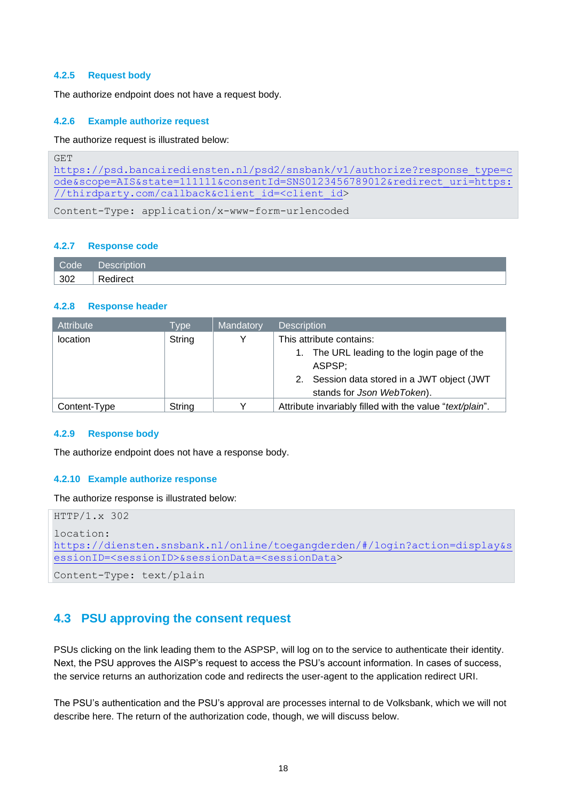#### <span id="page-17-0"></span>**4.2.5 Request body**

The authorize endpoint does not have a request body.

#### <span id="page-17-1"></span>**4.2.6 Example authorize request**

The authorize request is illustrated below:

```
GET 
https://psd.bancairediensten.nl/psd2/snsbank/v1/authorize?response_type=c
ode&scope=AIS&state=111111&consentId=SNS0123456789012&redirect_uri=https:
//thirdparty.com/callback&client_id=<client_id>
```
Content-Type: application/x-www-form-urlencoded

#### <span id="page-17-2"></span>**4.2.7 Response code**

| Code | Description                         |
|------|-------------------------------------|
| 302  | $\overline{\phantom{a}}$<br>edirect |

#### <span id="page-17-3"></span>**4.2.8 Response header**

| Attribute    | Type   | Mandatory | <b>Description</b>                                                           |  |
|--------------|--------|-----------|------------------------------------------------------------------------------|--|
| location     | String |           | This attribute contains:                                                     |  |
|              |        |           | The URL leading to the login page of the<br>ASPSP:                           |  |
|              |        |           | Session data stored in a JWT object (JWT<br>2.<br>stands for Json WebToken). |  |
| Content-Type | String |           | Attribute invariably filled with the value "text/plain".                     |  |

#### <span id="page-17-4"></span>**4.2.9 Response body**

The authorize endpoint does not have a response body.

#### <span id="page-17-5"></span>**4.2.10 Example authorize response**

The authorize response is illustrated below:

```
HTTP/1.x 302
location: 
https://diensten.snsbank.nl/online/toegangderden/#/login?action=display&s
essionID=<sessionID>&sessionData=<sessionData>
```

```
Content-Type: text/plain
```
## <span id="page-17-6"></span>**4.3 PSU approving the consent request**

PSUs clicking on the link leading them to the ASPSP, will log on to the service to authenticate their identity. Next, the PSU approves the AISP's request to access the PSU's account information. In cases of success, the service returns an authorization code and redirects the user-agent to the application redirect URI.

The PSU's authentication and the PSU's approval are processes internal to de Volksbank, which we will not describe here. The return of the authorization code, though, we will discuss below.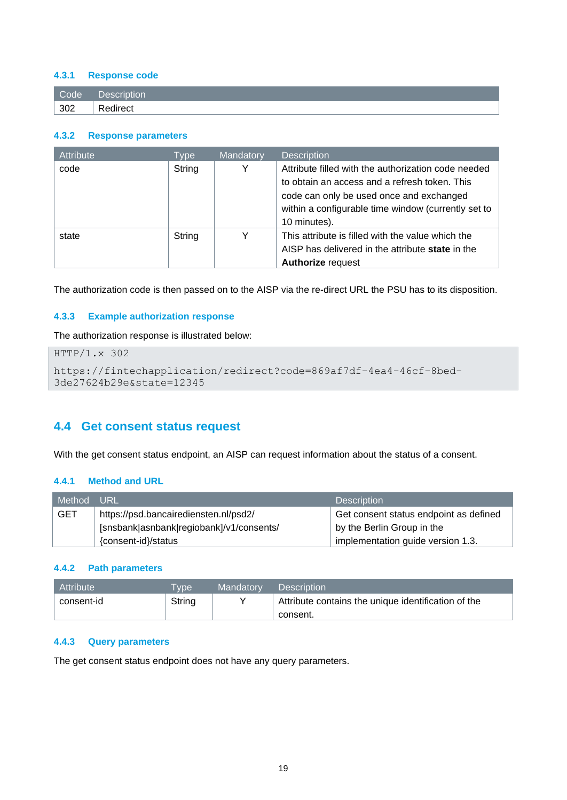### <span id="page-18-0"></span>**4.3.1 Response code**

| Code        | Description' |
|-------------|--------------|
| $\vert$ 302 | Redirect     |

#### <span id="page-18-1"></span>**4.3.2 Response parameters**

| Attribute | Type:  | Mandatory | <b>Description</b>                                      |
|-----------|--------|-----------|---------------------------------------------------------|
| code      | String | Y         | Attribute filled with the authorization code needed     |
|           |        |           | to obtain an access and a refresh token. This           |
|           |        |           | code can only be used once and exchanged                |
|           |        |           | within a configurable time window (currently set to     |
|           |        |           | 10 minutes).                                            |
| state     | String | v         | This attribute is filled with the value which the       |
|           |        |           | AISP has delivered in the attribute <b>state</b> in the |
|           |        |           | <b>Authorize request</b>                                |

The authorization code is then passed on to the AISP via the re-direct URL the PSU has to its disposition.

#### <span id="page-18-2"></span>**4.3.3 Example authorization response**

The authorization response is illustrated below:

```
HTTP/1.x 302
https://fintechapplication/redirect?code=869af7df-4ea4-46cf-8bed-
3de27624b29e&state=12345
```
## <span id="page-18-3"></span>**4.4 Get consent status request**

With the get consent status endpoint, an AISP can request information about the status of a consent.

### <span id="page-18-4"></span>**4.4.1 Method and URL**

| Method     | URL                                      | <b>Description</b>                     |
|------------|------------------------------------------|----------------------------------------|
| <b>GET</b> | https://psd.bancairediensten.nl/psd2/    | Get consent status endpoint as defined |
|            | [snsbank asnbank regiobank]/v1/consents/ | by the Berlin Group in the             |
|            | {consent-id}/status                      | implementation guide version 1.3.      |

### <span id="page-18-5"></span>**4.4.2 Path parameters**

| Attribute  | <b>VDe</b> | Mandatory | <b>Description</b>                                  |
|------------|------------|-----------|-----------------------------------------------------|
| consent-id | String     |           | Attribute contains the unique identification of the |
|            |            |           | consent.                                            |

### <span id="page-18-6"></span>**4.4.3 Query parameters**

The get consent status endpoint does not have any query parameters.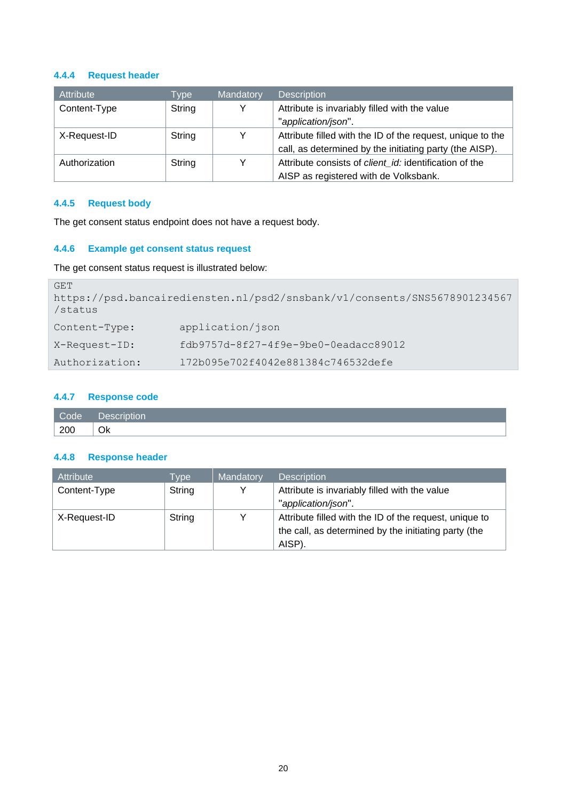### **4.4.4 Request header**

| Attribute     | Type   | Mandatory | <b>Description</b>                                            |
|---------------|--------|-----------|---------------------------------------------------------------|
| Content-Type  | String |           | Attribute is invariably filled with the value                 |
|               |        |           | "application/json".                                           |
| X-Request-ID  | String |           | Attribute filled with the ID of the request, unique to the    |
|               |        |           | call, as determined by the initiating party (the AISP).       |
| Authorization | String |           | Attribute consists of <i>client id:</i> identification of the |
|               |        |           | AISP as registered with de Volksbank.                         |

## <span id="page-19-0"></span>**4.4.5 Request body**

The get consent status endpoint does not have a request body.

### <span id="page-19-1"></span>**4.4.6 Example get consent status request**

The get consent status request is illustrated below:

| GET<br>/status | https://psd.bancairediensten.nl/psd2/snsbank/v1/consents/SNS5678901234567 |
|----------------|---------------------------------------------------------------------------|
| Content-Type:  | application/json                                                          |
| X-Request-ID:  | fdb9757d-8f27-4f9e-9be0-0eadacc89012                                      |
| Authorization: | 172b095e702f4042e881384c746532defe                                        |

### <span id="page-19-2"></span>**4.4.7 Response code**

| Code | Description<br>$-200$ |
|------|-----------------------|
| 200  | Ok                    |

### <span id="page-19-3"></span>**4.4.8 Response header**

| <b>Attribute</b> | Type:  | Mandatory | <b>Description</b>                                                                                                       |
|------------------|--------|-----------|--------------------------------------------------------------------------------------------------------------------------|
| Content-Type     | String |           | Attribute is invariably filled with the value<br>"application/json".                                                     |
| X-Request-ID     | String |           | Attribute filled with the ID of the request, unique to<br>the call, as determined by the initiating party (the<br>AISP). |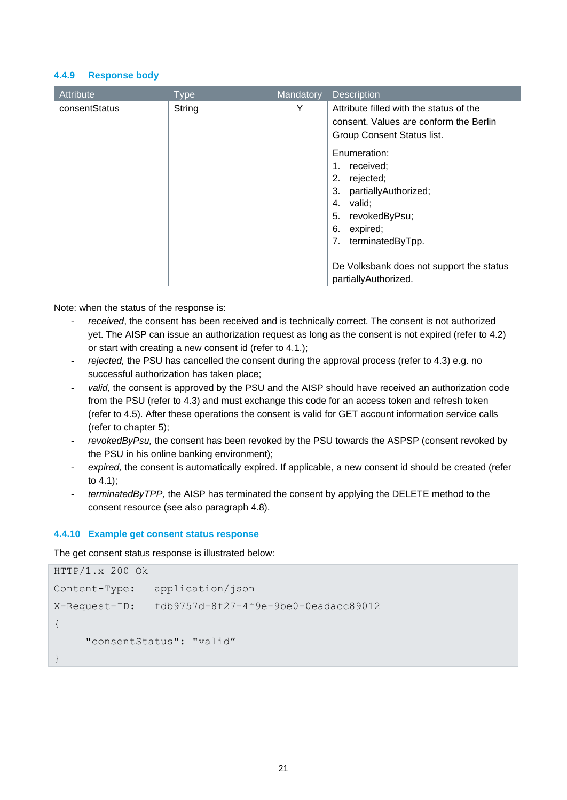#### <span id="page-20-0"></span>**4.4.9 Response body**

| Attribute     | <b>Type</b> | Mandatory | <b>Description</b>                       |
|---------------|-------------|-----------|------------------------------------------|
| consentStatus | String      | Υ         | Attribute filled with the status of the  |
|               |             |           | consent. Values are conform the Berlin   |
|               |             |           | Group Consent Status list.               |
|               |             |           | Enumeration:                             |
|               |             |           | received;                                |
|               |             |           | rejected;<br>2.                          |
|               |             |           | partiallyAuthorized;<br>3.               |
|               |             |           | valid;<br>4.                             |
|               |             |           | revokedByPsu;<br>5.                      |
|               |             |           | 6.<br>expired;                           |
|               |             |           | 7.<br>terminatedByTpp.                   |
|               |             |           | De Volksbank does not support the status |
|               |             |           | partiallyAuthorized.                     |

Note: when the status of the response is:

- received, the consent has been received and is technically correct. The consent is not authorized yet. The AISP can issue an authorization request as long as the consent is not expired (refer to 4.2) or start with creating a new consent id (refer to 4.1.);
- rejected, the PSU has cancelled the consent during the approval process (refer to 4.3) e.g. no successful authorization has taken place;
- valid, the consent is approved by the PSU and the AISP should have received an authorization code from the PSU (refer to 4.3) and must exchange this code for an access token and refresh token (refer to 4.5). After these operations the consent is valid for GET account information service calls (refer to chapter 5);
- *revokedByPsu,* the consent has been revoked by the PSU towards the ASPSP (consent revoked by the PSU in his online banking environment);
- expired, the consent is automatically expired. If applicable, a new consent id should be created (refer to 4.1);
- *terminatedByTPP,* the AISP has terminated the consent by applying the DELETE method to the consent resource (see also paragraph 4.8).

### <span id="page-20-1"></span>**4.4.10 Example get consent status response**

The get consent status response is illustrated below:

```
HTTP/1.x 200 Ok
Content-Type: application/json
X-Request-ID: fdb9757d-8f27-4f9e-9be0-0eadacc89012
{
      "consentStatus": "valid"
}
```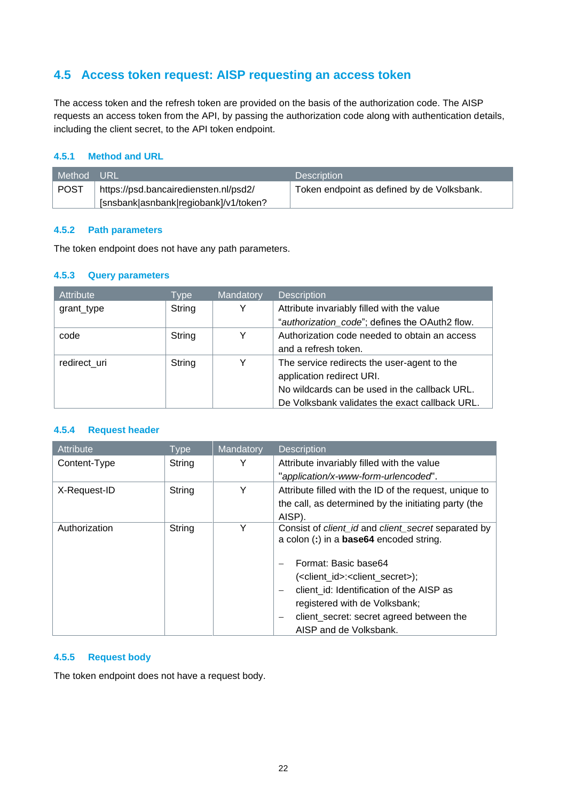# <span id="page-21-0"></span>**4.5 Access token request: AISP requesting an access token**

The access token and the refresh token are provided on the basis of the authorization code. The AISP requests an access token from the API, by passing the authorization code along with authentication details, including the client secret, to the API token endpoint.

### <span id="page-21-1"></span>**4.5.1 Method and URL**

| l Method URL |                                       | <b>Description</b>                         |
|--------------|---------------------------------------|--------------------------------------------|
| <b>POST</b>  | https://psd.bancairediensten.nl/psd2/ | Token endpoint as defined by de Volksbank. |
|              | [snsbank asnbank regiobank]/v1/token? |                                            |

### <span id="page-21-2"></span>**4.5.2 Path parameters**

The token endpoint does not have any path parameters.

#### <span id="page-21-3"></span>**4.5.3 Query parameters**

| <b>Attribute</b> | Type   | Mandatory | <b>Description</b>                             |
|------------------|--------|-----------|------------------------------------------------|
| grant_type       | String | Y         | Attribute invariably filled with the value     |
|                  |        |           | "authorization_code"; defines the OAuth2 flow. |
| code             | String | Y         | Authorization code needed to obtain an access  |
|                  |        |           | and a refresh token.                           |
| redirect uri     | String | Y         | The service redirects the user-agent to the    |
|                  |        |           | application redirect URI.                      |
|                  |        |           | No wildcards can be used in the callback URL.  |
|                  |        |           | De Volksbank validates the exact callback URL. |

### <span id="page-21-4"></span>**4.5.4 Request header**

| Attribute     | Type   | Mandatory | <b>Description</b>                                                                                    |
|---------------|--------|-----------|-------------------------------------------------------------------------------------------------------|
| Content-Type  | String | Y         | Attribute invariably filled with the value                                                            |
|               |        |           | "application/x-www-form-urlencoded".                                                                  |
| X-Request-ID  | String | Y         | Attribute filled with the ID of the request, unique to                                                |
|               |        |           | the call, as determined by the initiating party (the                                                  |
|               |        |           | AISP).                                                                                                |
| Authorization | String | Y         | Consist of client_id and client_secret separated by<br>a colon (:) in a <b>base64</b> encoded string. |
|               |        |           | Format: Basic base64                                                                                  |
|               |        |           | ( <client_id>:<client_secret>);</client_secret></client_id>                                           |
|               |        |           | client id: Identification of the AISP as                                                              |
|               |        |           | registered with de Volksbank;                                                                         |
|               |        |           | client_secret: secret agreed between the                                                              |
|               |        |           | AISP and de Volksbank.                                                                                |

### <span id="page-21-5"></span>**4.5.5 Request body**

The token endpoint does not have a request body.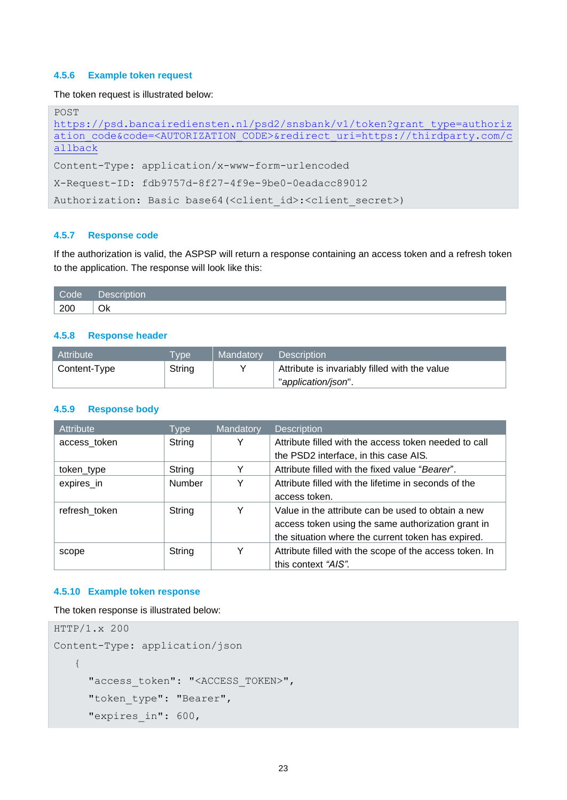### <span id="page-22-0"></span>**4.5.6 Example token request**

The token request is illustrated below:

| POST                                                                                             |  |  |  |  |
|--------------------------------------------------------------------------------------------------|--|--|--|--|
| https://psd.bancairediensten.nl/psd2/snsbank/v1/token?grant type=authoriz                        |  |  |  |  |
| ation code&code= <autorization code="">&amp;redirect uri=https://thirdparty.com/c</autorization> |  |  |  |  |
| allback                                                                                          |  |  |  |  |
| Content-Type: application/x-www-form-urlencoded                                                  |  |  |  |  |
| X-Request-ID: fdb9757d-8f27-4f9e-9be0-0eadacc89012                                               |  |  |  |  |
| Authorization: Basic base64( <client id="">:<client secret="">)</client></client>                |  |  |  |  |

#### <span id="page-22-1"></span>**4.5.7 Response code**

If the authorization is valid, the ASPSP will return a response containing an access token and a refresh token to the application. The response will look like this:

| Code | $1000 - 100$<br>__<br>. |
|------|-------------------------|
| 200  | Ok                      |

### <span id="page-22-2"></span>**4.5.8 Response header**

| Attribute    | <b>VDe</b> | Mandatory | <b>Description</b>                            |
|--------------|------------|-----------|-----------------------------------------------|
| Content-Type | String     |           | Attribute is invariably filled with the value |
|              |            |           | "application/json".                           |

#### <span id="page-22-3"></span>**4.5.9 Response body**

| Attribute     | <b>Type</b>   | Mandatory | <b>Description</b>                                      |
|---------------|---------------|-----------|---------------------------------------------------------|
| access_token  | String        | Y         | Attribute filled with the access token needed to call   |
|               |               |           | the PSD2 interface, in this case AIS.                   |
| token_type    | String        | Y         | Attribute filled with the fixed value "Bearer".         |
| expires_in    | <b>Number</b> | Υ         | Attribute filled with the lifetime in seconds of the    |
|               |               |           | access token.                                           |
| refresh token | String        | Y         | Value in the attribute can be used to obtain a new      |
|               |               |           | access token using the same authorization grant in      |
|               |               |           | the situation where the current token has expired.      |
| scope         | String        | Υ         | Attribute filled with the scope of the access token. In |
|               |               |           | this context "AIS".                                     |

### <span id="page-22-4"></span>**4.5.10 Example token response**

The token response is illustrated below:

```
HTTP/1.x 200
Content-Type: application/json
   {
     "access_token": "<ACCESS_TOKEN>",
     "token_type": "Bearer",
     "expires_in": 600,
```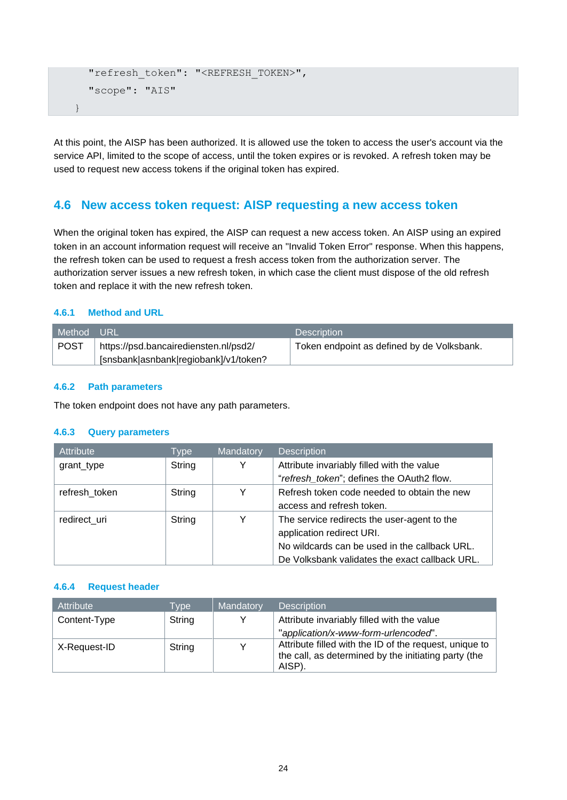```
"refresh_token": "<REFRESH_TOKEN>",
  "scope": "AIS"
}
```
At this point, the AISP has been authorized. It is allowed use the token to access the user's account via the service API, limited to the scope of access, until the token expires or is revoked. A refresh token may be used to request new access tokens if the original token has expired.

## <span id="page-23-0"></span>**4.6 New access token request: AISP requesting a new access token**

When the original token has expired, the AISP can request a new access token. An AISP using an expired token in an account information request will receive an "Invalid Token Error" response. When this happens, the refresh token can be used to request a fresh access token from the authorization server. The authorization server issues a new refresh token, in which case the client must dispose of the old refresh token and replace it with the new refresh token.

### <span id="page-23-1"></span>**4.6.1 Method and URL**

| l Method URL |                                       | <b>Description</b>                         |
|--------------|---------------------------------------|--------------------------------------------|
| POST         | https://psd.bancairediensten.nl/psd2/ | Token endpoint as defined by de Volksbank. |
|              | [snsbank asnbank regiobank]/v1/token? |                                            |

### <span id="page-23-2"></span>**4.6.2 Path parameters**

The token endpoint does not have any path parameters.

### <span id="page-23-3"></span>**4.6.3 Query parameters**

| <b>Attribute</b> | Type   | Mandatory | Description                                    |
|------------------|--------|-----------|------------------------------------------------|
| grant_type       | String | Y         | Attribute invariably filled with the value     |
|                  |        |           | "refresh token"; defines the OAuth2 flow.      |
| refresh token    | String | Y         | Refresh token code needed to obtain the new    |
|                  |        |           | access and refresh token.                      |
| redirect uri     | String | Y         | The service redirects the user-agent to the    |
|                  |        |           | application redirect URI.                      |
|                  |        |           | No wildcards can be used in the callback URL.  |
|                  |        |           | De Volksbank validates the exact callback URL. |

### <span id="page-23-4"></span>**4.6.4 Request header**

| Attribute    | Type   | Mandatory | <b>Description</b>                                                                                                       |
|--------------|--------|-----------|--------------------------------------------------------------------------------------------------------------------------|
| Content-Type | String | v         | Attribute invariably filled with the value                                                                               |
|              |        |           | "application/x-www-form-urlencoded".                                                                                     |
| X-Request-ID | String | v         | Attribute filled with the ID of the request, unique to<br>the call, as determined by the initiating party (the<br>AISP). |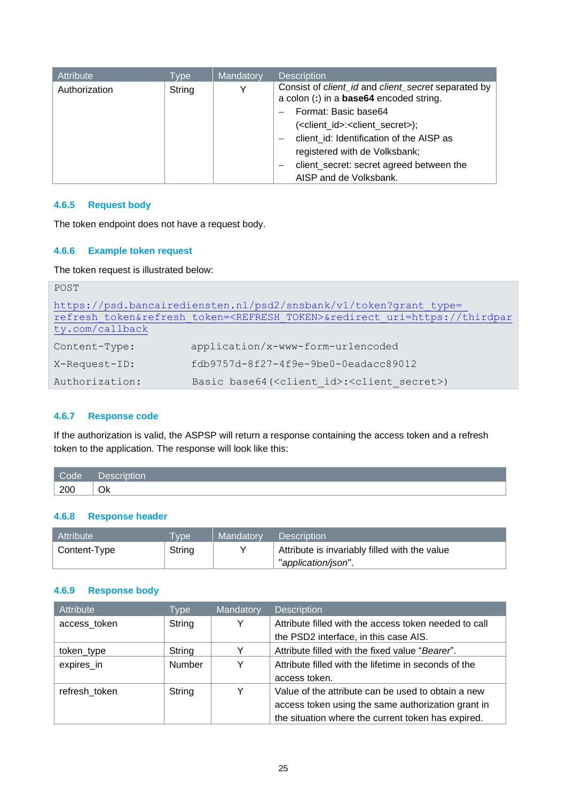| Attribute     | Type   | Mandatory | <b>Description</b>                                                                               |
|---------------|--------|-----------|--------------------------------------------------------------------------------------------------|
| Authorization | String | Y         | Consist of client_id and client_secret separated by  <br>a colon (:) in a base64 encoded string. |
|               |        |           | Format: Basic base64                                                                             |
|               |        |           | ( <client_id>:<client_secret>);</client_secret></client_id>                                      |
|               |        |           | client id: Identification of the AISP as                                                         |
|               |        |           | registered with de Volksbank;                                                                    |
|               |        |           | client_secret: secret agreed between the                                                         |
|               |        |           | AISP and de Volksbank.                                                                           |

### <span id="page-24-0"></span>**4.6.5 Request body**

The token endpoint does not have a request body.

### <span id="page-24-1"></span>**4.6.6 Example token request**

The token request is illustrated below:

| POST            |                                                                                             |
|-----------------|---------------------------------------------------------------------------------------------|
|                 | https://psd.bancairediensten.nl/psd2/snsbank/v1/token?grant type=                           |
|                 | refresh token&refresh token= <refresh token="">&amp;redirect uri=https://thirdpar</refresh> |
| ty.com/callback |                                                                                             |
| Content-Type:   | application/x-www-form-urlencoded                                                           |
| X-Request-ID:   | fdb9757d-8f27-4f9e-9be0-0eadacc89012                                                        |
| Authorization:  | Basic base64( <client id="">:<client secret="">)</client></client>                          |

#### <span id="page-24-2"></span>**4.6.7 Response code**

If the authorization is valid, the ASPSP will return a response containing the access token and a refresh token to the application. The response will look like this:

| Code | .<br>. |
|------|--------|
| 200  | Ok     |

### <span id="page-24-3"></span>**4.6.8 Response header**

| <b>Attribute</b> | <b>VDe</b> | Mandatory | <b>Description</b>                            |
|------------------|------------|-----------|-----------------------------------------------|
| Content-Type     | String     |           | Attribute is invariably filled with the value |
|                  |            |           | "application/json".                           |

## <span id="page-24-4"></span>**4.6.9 Response body**

| Attribute     | <b>Type</b> | Mandatory | <b>Description</b>                                    |
|---------------|-------------|-----------|-------------------------------------------------------|
| access_token  | String      | Y         | Attribute filled with the access token needed to call |
|               |             |           | the PSD2 interface, in this case AIS.                 |
| token_type    | String      |           | Attribute filled with the fixed value "Bearer".       |
| expires in    | Number      | Υ         | Attribute filled with the lifetime in seconds of the  |
|               |             |           | access token.                                         |
| refresh token | String      | Υ         | Value of the attribute can be used to obtain a new    |
|               |             |           | access token using the same authorization grant in    |
|               |             |           | the situation where the current token has expired.    |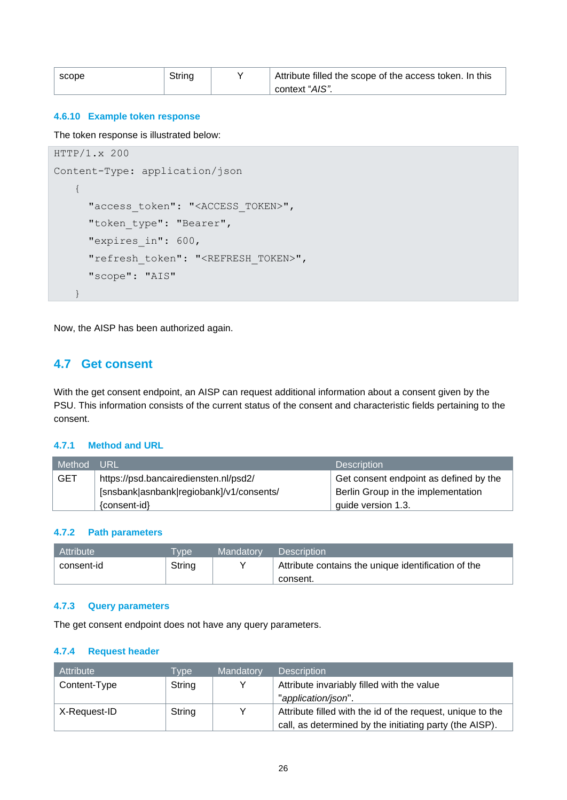| scope | String | Attribute filled the scope of the access token. In this |
|-------|--------|---------------------------------------------------------|
|       |        | context "AIS".                                          |

### <span id="page-25-0"></span>**4.6.10 Example token response**

The token response is illustrated below:

```
HTTP/1.x 200 
Content-Type: application/json
   {
     "access_token": "<ACCESS_TOKEN>",
     "token type": "Bearer",
     "expires_in": 600,
     "refresh_token": "<REFRESH_TOKEN>",
     "scope": "AIS"
   }
```
Now, the AISP has been authorized again.

## <span id="page-25-1"></span>**4.7 Get consent**

With the get consent endpoint, an AISP can request additional information about a consent given by the PSU. This information consists of the current status of the consent and characteristic fields pertaining to the consent.

#### <span id="page-25-2"></span>**4.7.1 Method and URL**

| Method     | URL.                                     | <b>Description</b>                     |
|------------|------------------------------------------|----------------------------------------|
| <b>GET</b> | https://psd.bancairediensten.nl/psd2/    | Get consent endpoint as defined by the |
|            | [snsbank asnbank regiobank]/v1/consents/ | Berlin Group in the implementation     |
|            | {consent-id}                             | quide version 1.3.                     |

#### <span id="page-25-3"></span>**4.7.2 Path parameters**

| Attribute     | <b>Type</b> | Mandatory | <b>Description</b>                                  |
|---------------|-------------|-----------|-----------------------------------------------------|
| ' consent-id_ | String      |           | Attribute contains the unique identification of the |
|               |             |           | consent.                                            |

#### <span id="page-25-4"></span>**4.7.3 Query parameters**

The get consent endpoint does not have any query parameters.

### **4.7.4 Request header**

| Attribute    | <b>Type</b> | Mandatory | <b>Description</b>                                         |
|--------------|-------------|-----------|------------------------------------------------------------|
| Content-Type | String      |           | Attribute invariably filled with the value                 |
|              |             |           | "application/json".                                        |
| X-Request-ID | String      |           | Attribute filled with the id of the request, unique to the |
|              |             |           | call, as determined by the initiating party (the AISP).    |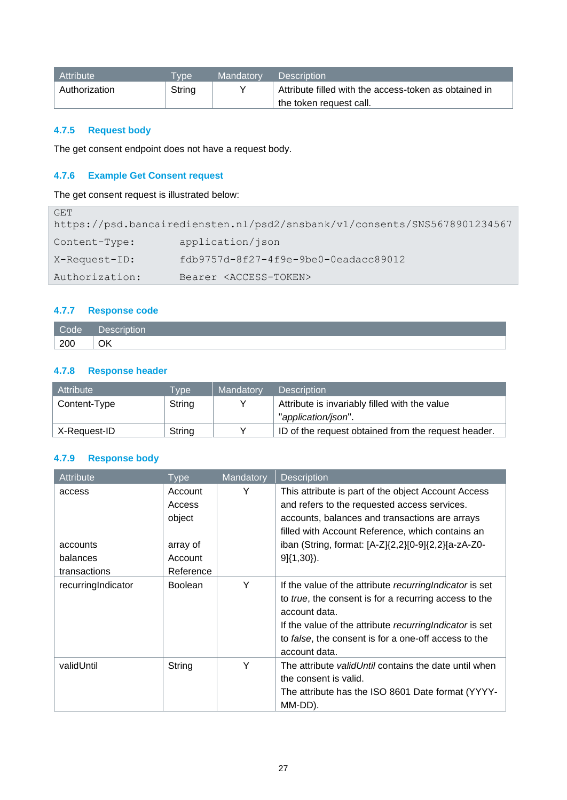| l Attribute   | vpe <sup>1</sup> | Mandatory | <b>Description</b>                                    |
|---------------|------------------|-----------|-------------------------------------------------------|
| Authorization | String           |           | Attribute filled with the access-token as obtained in |
|               |                  |           | the token request call.                               |

## <span id="page-26-0"></span>**4.7.5 Request body**

The get consent endpoint does not have a request body.

## <span id="page-26-1"></span>**4.7.6 Example Get Consent request**

The get consent request is illustrated below:

| GET            |                                                                           |
|----------------|---------------------------------------------------------------------------|
|                | https://psd.bancairediensten.nl/psd2/snsbank/v1/consents/SNS5678901234567 |
| Content-Type:  | application/json                                                          |
| X-Request-ID:  | fdb9757d-8f27-4f9e-9be0-0eadacc89012                                      |
| Authorization: | Bearer <access-token></access-token>                                      |

## <span id="page-26-2"></span>**4.7.7 Response code**

| Code, | Description |
|-------|-------------|
| 200   | ОК          |

## <span id="page-26-3"></span>**4.7.8 Response header**

| Attribute    | <b>Tvpe</b> | Mandatory | <b>Description</b>                                  |
|--------------|-------------|-----------|-----------------------------------------------------|
| Content-Type | String      |           | Attribute is invariably filled with the value       |
|              |             |           | "application/json".                                 |
| X-Request-ID | String      |           | ID of the request obtained from the request header. |

## <span id="page-26-4"></span>**4.7.9 Response body**

| Attribute          | Type           | Mandatory | <b>Description</b>                                           |
|--------------------|----------------|-----------|--------------------------------------------------------------|
| access             | Account        | Υ         | This attribute is part of the object Account Access          |
|                    | Access         |           | and refers to the requested access services.                 |
|                    | object         |           | accounts, balances and transactions are arrays               |
|                    |                |           | filled with Account Reference, which contains an             |
| accounts           | array of       |           | iban (String, format: [A-Z]{2,2}[0-9]{2,2}[a-zA-Z0-          |
| balances           | Account        |           | $9\{(1,30)\}.$                                               |
| transactions       | Reference      |           |                                                              |
| recurringIndicator | <b>Boolean</b> | Y         | If the value of the attribute recurring Indicator is set     |
|                    |                |           | to true, the consent is for a recurring access to the        |
|                    |                |           | account data.                                                |
|                    |                |           | If the value of the attribute recurring Indicator is set     |
|                    |                |           | to false, the consent is for a one-off access to the         |
|                    |                |           | account data.                                                |
| validUntil         | String         | Y         | The attribute <i>validUntil</i> contains the date until when |
|                    |                |           | the consent is valid.                                        |
|                    |                |           | The attribute has the ISO 8601 Date format (YYYY-            |
|                    |                |           | MM-DD).                                                      |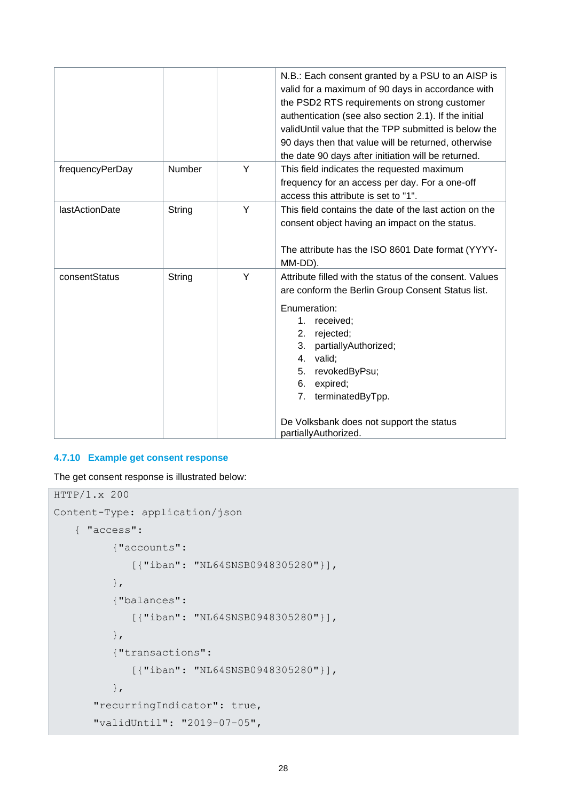|                 |               |   | N.B.: Each consent granted by a PSU to an AISP is<br>valid for a maximum of 90 days in accordance with<br>the PSD2 RTS requirements on strong customer<br>authentication (see also section 2.1). If the initial<br>validUntil value that the TPP submitted is below the<br>90 days then that value will be returned, otherwise<br>the date 90 days after initiation will be returned. |
|-----------------|---------------|---|---------------------------------------------------------------------------------------------------------------------------------------------------------------------------------------------------------------------------------------------------------------------------------------------------------------------------------------------------------------------------------------|
| frequencyPerDay | <b>Number</b> | Y | This field indicates the requested maximum<br>frequency for an access per day. For a one-off<br>access this attribute is set to "1".                                                                                                                                                                                                                                                  |
| lastActionDate  | String        | Y | This field contains the date of the last action on the<br>consent object having an impact on the status.<br>The attribute has the ISO 8601 Date format (YYYY-<br>MM-DD).                                                                                                                                                                                                              |
| consentStatus   | String        | Y | Attribute filled with the status of the consent. Values<br>are conform the Berlin Group Consent Status list.<br>Enumeration:<br>$1_{-}$<br>received;<br>rejected;<br>2.<br>3.<br>partiallyAuthorized;<br>valid;<br>4.<br>revokedByPsu;<br>5.<br>6.<br>expired;<br>terminatedByTpp.<br>7.<br>De Volksbank does not support the status<br>partiallyAuthorized.                          |

# <span id="page-27-0"></span>**4.7.10 Example get consent response**

The get consent response is illustrated below:

```
HTTP/1.x 200 
Content-Type: application/json
   { "access":
           {"accounts":
              [{"iban": "NL64SNSB0948305280"}],
           },
           {"balances":
              [{"iban": "NL64SNSB0948305280"}],
           },
           {"transactions":
              [{"iban": "NL64SNSB0948305280"}],
           },
       "recurringIndicator": true,
       "validUntil": "2019-07-05",
```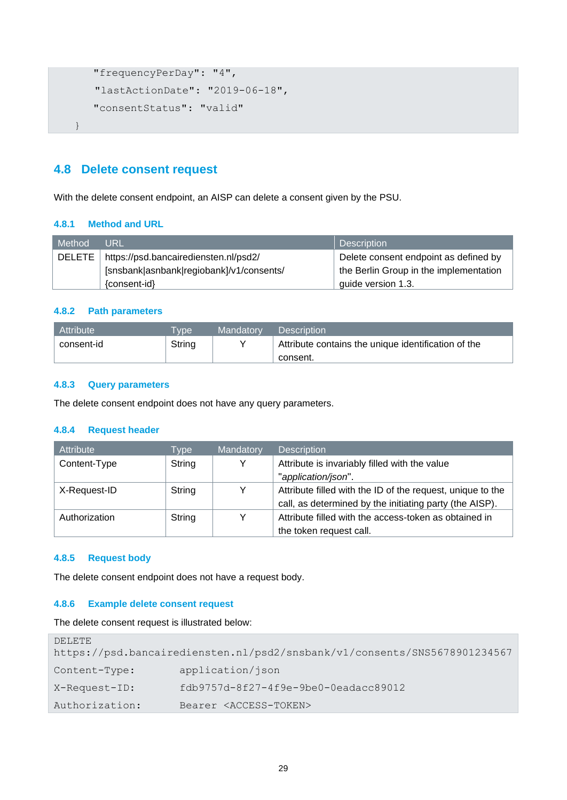```
 "frequencyPerDay": "4",
   "lastActionDate": "2019-06-18",
    "consentStatus": "valid"
}
```
## <span id="page-28-0"></span>**4.8 Delete consent request**

With the delete consent endpoint, an AISP can delete a consent given by the PSU.

### <span id="page-28-1"></span>**4.8.1 Method and URL**

| <b>Method</b> | URL                                      | <b>Description</b>                     |
|---------------|------------------------------------------|----------------------------------------|
| DELETE        | https://psd.bancairediensten.nl/psd2/    | Delete consent endpoint as defined by  |
|               | [snsbank asnbank regiobank]/v1/consents/ | the Berlin Group in the implementation |
|               | {consent-id}                             | quide version 1.3.                     |

### <span id="page-28-2"></span>**4.8.2 Path parameters**

| Attribute  | vpe    | Mandatory | <b>Description</b>                                  |
|------------|--------|-----------|-----------------------------------------------------|
| consent-id | String |           | Attribute contains the unique identification of the |
|            |        |           | consent.                                            |

#### <span id="page-28-3"></span>**4.8.3 Query parameters**

The delete consent endpoint does not have any query parameters.

### **4.8.4 Request header**

| Attribute     | Type   | Mandatory | <b>Description</b>                                         |
|---------------|--------|-----------|------------------------------------------------------------|
| Content-Type  | String |           | Attribute is invariably filled with the value              |
|               |        |           | "application/json".                                        |
| X-Request-ID  | String |           | Attribute filled with the ID of the request, unique to the |
|               |        |           | call, as determined by the initiating party (the AISP).    |
| Authorization | String |           | Attribute filled with the access-token as obtained in      |
|               |        |           | the token request call.                                    |

### <span id="page-28-4"></span>**4.8.5 Request body**

The delete consent endpoint does not have a request body.

### <span id="page-28-5"></span>**4.8.6 Example delete consent request**

The delete consent request is illustrated below:

```
DELETE 
https://psd.bancairediensten.nl/psd2/snsbank/v1/consents/SNS5678901234567
Content-Type: application/json
X-Request-ID: fdb9757d-8f27-4f9e-9be0-0eadacc89012
Authorization: Bearer <ACCESS-TOKEN>
```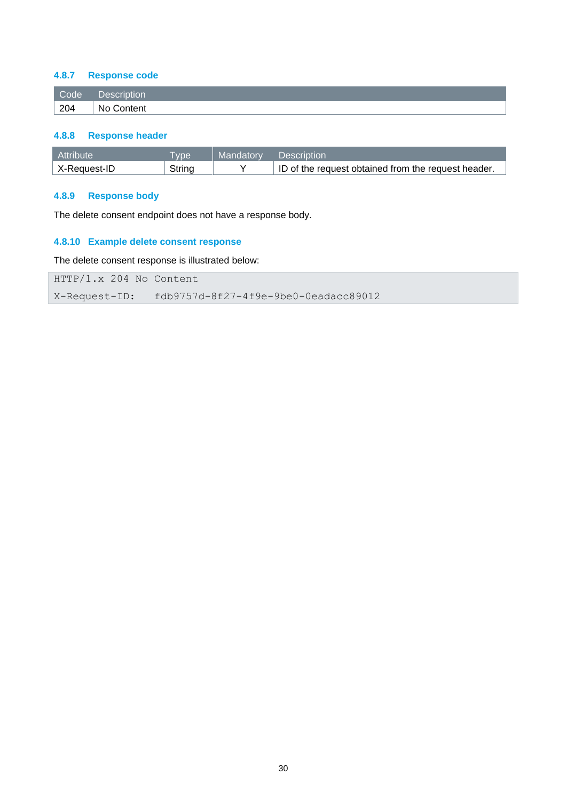### <span id="page-29-0"></span>**4.8.7 Response code**

| Code | ____<br>iion<br>a roma |
|------|------------------------|
| 204  | Nc<br>`ontent          |

### <span id="page-29-1"></span>**4.8.8 Response header**

| Attribute    | <b>VDe</b> | Mandatory | Description                                         |
|--------------|------------|-----------|-----------------------------------------------------|
| X-Reauest-ID | Strina     |           | ID of the request obtained from the request header. |

## <span id="page-29-2"></span>**4.8.9 Response body**

The delete consent endpoint does not have a response body.

## <span id="page-29-3"></span>**4.8.10 Example delete consent response**

The delete consent response is illustrated below:

HTTP/1.x 204 No Content

X-Request-ID: fdb9757d-8f27-4f9e-9be0-0eadacc89012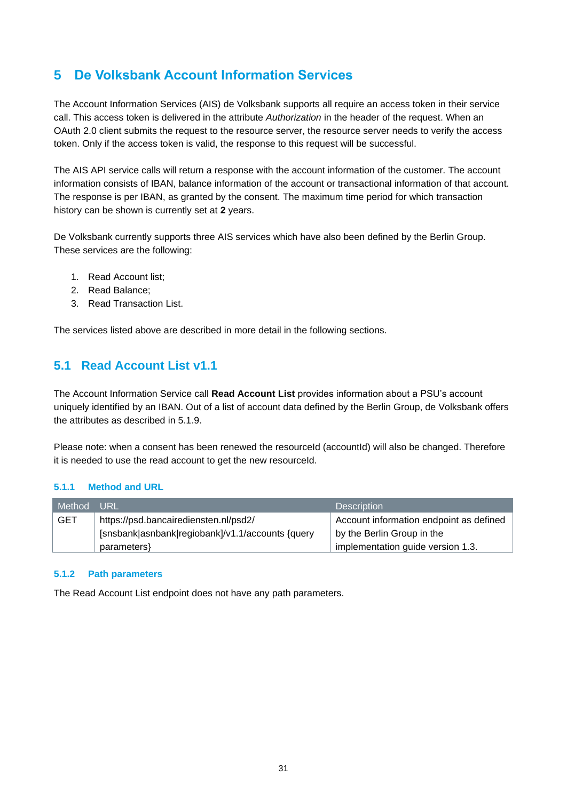# <span id="page-30-0"></span>**5 De Volksbank Account Information Services**

The Account Information Services (AIS) de Volksbank supports all require an access token in their service call. This access token is delivered in the attribute *Authorization* in the header of the request. When an OAuth 2.0 client submits the request to the resource server, the resource server needs to verify the access token. Only if the access token is valid, the response to this request will be successful.

The AIS API service calls will return a response with the account information of the customer. The account information consists of IBAN, balance information of the account or transactional information of that account. The response is per IBAN, as granted by the consent. The maximum time period for which transaction history can be shown is currently set at **2** years.

De Volksbank currently supports three AIS services which have also been defined by the Berlin Group. These services are the following:

- 1. Read Account list;
- 2. Read Balance;
- 3. Read Transaction List.

The services listed above are described in more detail in the following sections.

# <span id="page-30-1"></span>**5.1 Read Account List v1.1**

The Account Information Service call **Read Account List** provides information about a PSU's account uniquely identified by an IBAN. Out of a list of account data defined by the Berlin Group, de Volksbank offers the attributes as described in 5.1.9.

Please note: when a consent has been renewed the resourceId (accountId) will also be changed. Therefore it is needed to use the read account to get the new resourceId.

### <span id="page-30-2"></span>**5.1.1 Method and URL**

| Method     | URL                                              | <b>Description</b>                      |
|------------|--------------------------------------------------|-----------------------------------------|
| <b>GET</b> | https://psd.bancairediensten.nl/psd2/            | Account information endpoint as defined |
|            | [snsbank asnbank regiobank]/v1.1/accounts {query | by the Berlin Group in the              |
|            | parameters }                                     | implementation guide version 1.3.       |

### <span id="page-30-3"></span>**5.1.2 Path parameters**

The Read Account List endpoint does not have any path parameters.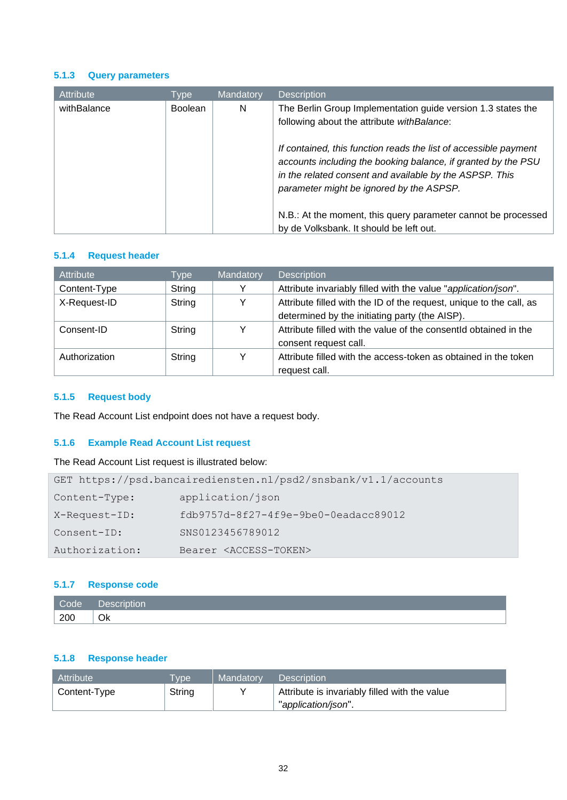### <span id="page-31-0"></span>**5.1.3 Query parameters**

| Attribute   | Type           | <b>Mandatory</b> | <b>Description</b>                                                                                                                                                              |
|-------------|----------------|------------------|---------------------------------------------------------------------------------------------------------------------------------------------------------------------------------|
| withBalance | <b>Boolean</b> | N                | The Berlin Group Implementation guide version 1.3 states the<br>following about the attribute with Balance:<br>If contained, this function reads the list of accessible payment |
|             |                |                  | accounts including the booking balance, if granted by the PSU<br>in the related consent and available by the ASPSP. This<br>parameter might be ignored by the ASPSP.            |
|             |                |                  | N.B.: At the moment, this query parameter cannot be processed<br>by de Volksbank. It should be left out.                                                                        |

### **5.1.4 Request header**

| Attribute     | Type   | Mandatory | <b>Description</b>                                                  |
|---------------|--------|-----------|---------------------------------------------------------------------|
| Content-Type  | String | Y         | Attribute invariably filled with the value "application/json".      |
| X-Request-ID  | String | Y         | Attribute filled with the ID of the request, unique to the call, as |
|               |        |           | determined by the initiating party (the AISP).                      |
| Consent-ID    | String | v         | Attribute filled with the value of the consentid obtained in the    |
|               |        |           | consent request call.                                               |
| Authorization | String | ∨         | Attribute filled with the access-token as obtained in the token     |
|               |        |           | request call.                                                       |

## <span id="page-31-1"></span>**5.1.5 Request body**

The Read Account List endpoint does not have a request body.

## <span id="page-31-2"></span>**5.1.6 Example Read Account List request**

The Read Account List request is illustrated below:

| GET https://psd.bancairediensten.nl/psd2/snsbank/v1.1/accounts |                                        |  |  |  |
|----------------------------------------------------------------|----------------------------------------|--|--|--|
| Content-Type:                                                  | application/json                       |  |  |  |
| X-Request-ID:                                                  | $fdb9757d-8f27-4f9e-9be0-0eadacc89012$ |  |  |  |
| Consent-ID:                                                    | SNS0123456789012                       |  |  |  |
| Authorization:                                                 | Bearer <access-token></access-token>   |  |  |  |

### <span id="page-31-3"></span>**5.1.7 Response code**

| Code | Descriv<br>escription |
|------|-----------------------|
| 200  | Ok                    |

## <span id="page-31-4"></span>**5.1.8 Response header**

| <b>Attribute</b> | <b>Type</b> | Mandatory | <b>Description</b>                            |
|------------------|-------------|-----------|-----------------------------------------------|
| Content-Type     | String      |           | Attribute is invariably filled with the value |
|                  |             |           | "application/json".                           |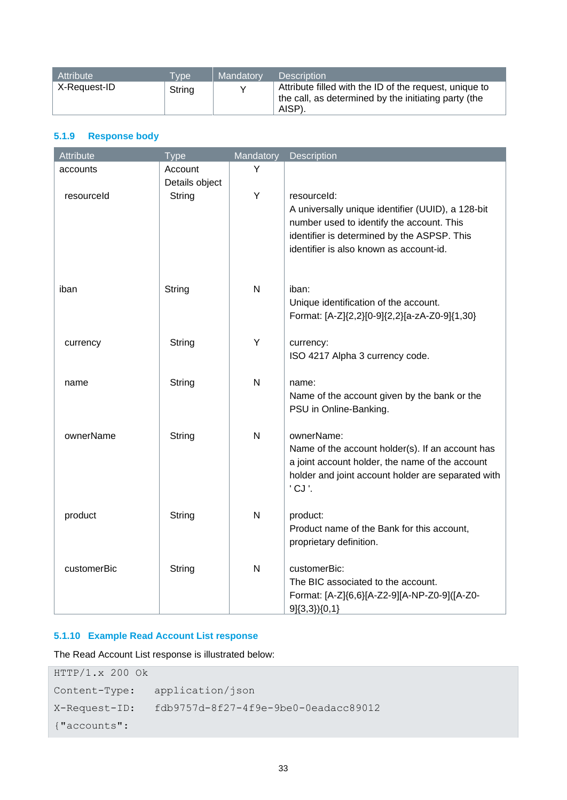| Attribute    | <b>Type</b> | Mandatory | <b>Description</b>                                                                                                      |
|--------------|-------------|-----------|-------------------------------------------------------------------------------------------------------------------------|
| X-Request-ID | String      |           | Attribute filled with the ID of the request, unique to<br>the call, as determined by the initiating party (the<br>AISP) |

## <span id="page-32-0"></span>**5.1.9 Response body**

| Attribute   | <b>Type</b>              | Mandatory    | Description                                                                            |
|-------------|--------------------------|--------------|----------------------------------------------------------------------------------------|
| accounts    | Account                  | Y            |                                                                                        |
| resourceld  | Details object<br>String | Y            | resourceld:                                                                            |
|             |                          |              | A universally unique identifier (UUID), a 128-bit                                      |
|             |                          |              | number used to identify the account. This                                              |
|             |                          |              | identifier is determined by the ASPSP. This<br>identifier is also known as account-id. |
|             |                          |              |                                                                                        |
| iban        | String                   | $\mathsf{N}$ | iban:                                                                                  |
|             |                          |              | Unique identification of the account.                                                  |
|             |                          |              | Format: [A-Z]{2,2}[0-9]{2,2}[a-zA-Z0-9]{1,30}                                          |
| currency    | String                   | Y            | currency:                                                                              |
|             |                          |              | ISO 4217 Alpha 3 currency code.                                                        |
|             |                          |              |                                                                                        |
| name        | String                   | N            | name:<br>Name of the account given by the bank or the                                  |
|             |                          |              | PSU in Online-Banking.                                                                 |
|             |                          | N            |                                                                                        |
| ownerName   | String                   |              | ownerName:<br>Name of the account holder(s). If an account has                         |
|             |                          |              | a joint account holder, the name of the account                                        |
|             |                          |              | holder and joint account holder are separated with                                     |
|             |                          |              | 'CJ'.                                                                                  |
| product     | String                   | $\mathsf{N}$ | product:                                                                               |
|             |                          |              | Product name of the Bank for this account,                                             |
|             |                          |              | proprietary definition.                                                                |
| customerBic | String                   | $\mathsf{N}$ | customerBic:                                                                           |
|             |                          |              | The BIC associated to the account.<br>Format: [A-Z]{6,6}[A-Z2-9][A-NP-Z0-9]([A-Z0-     |
|             |                          |              | $9\{(3,3)\}(0,1\}$                                                                     |

## <span id="page-32-1"></span>**5.1.10 Example Read Account List response**

The Read Account List response is illustrated below:

| HTTP/1.x 200 OK |                                      |
|-----------------|--------------------------------------|
| Content-Type:   | application/json                     |
| X-Request-ID:   | fdb9757d-8f27-4f9e-9be0-0eadacc89012 |
| {"accounts":    |                                      |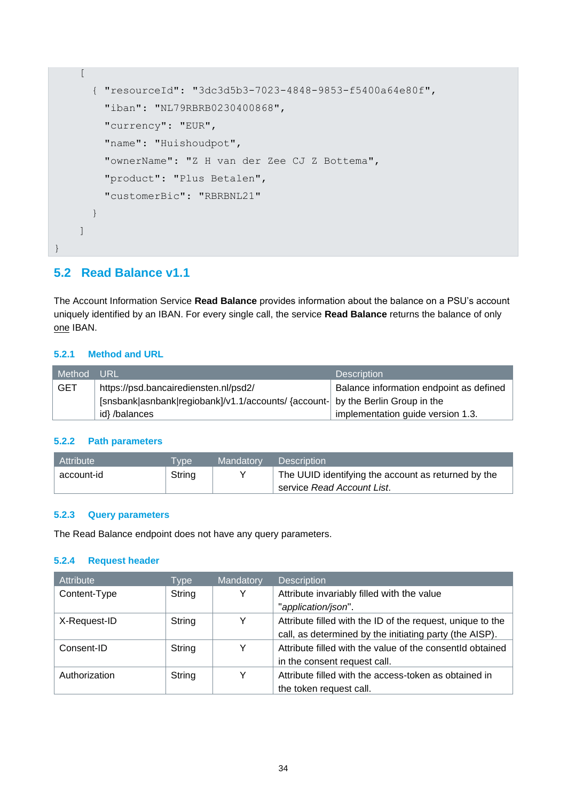```
\sqrt{ } { "resourceId": "3dc3d5b3-7023-4848-9853-f5400a64e80f",
         "iban": "NL79RBRB0230400868",
         "currency": "EUR",
        "name": "Huishoudpot",
         "ownerName": "Z H van der Zee CJ Z Bottema",
         "product": "Plus Betalen",
         "customerBic": "RBRBNL21"
       }
     ]
}
```
## <span id="page-33-0"></span>**5.2 Read Balance v1.1**

The Account Information Service **Read Balance** provides information about the balance on a PSU's account uniquely identified by an IBAN. For every single call, the service **Read Balance** returns the balance of only one IBAN.

### <span id="page-33-1"></span>**5.2.1 Method and URL**

| Method     | <b>URL</b>                                                                       | <b>Description</b>                      |
|------------|----------------------------------------------------------------------------------|-----------------------------------------|
| <b>GET</b> | https://psd.bancairediensten.nl/psd2/                                            | Balance information endpoint as defined |
|            | [snsbank asnbank regiobank]/v1.1/accounts/ {account-  by the Berlin Group in the |                                         |
|            | id}/balances                                                                     | implementation guide version 1.3.       |

### <span id="page-33-2"></span>**5.2.2 Path parameters**

| Attribute  | <b>Type</b> | Mandatory | <b>Description</b>                                  |
|------------|-------------|-----------|-----------------------------------------------------|
| account-id | String      |           | The UUID identifying the account as returned by the |
|            |             |           | service Read Account List.                          |

### <span id="page-33-3"></span>**5.2.3 Query parameters**

The Read Balance endpoint does not have any query parameters.

### **5.2.4 Request header**

| Attribute              | Type   | Mandatory | <b>Description</b>                                         |
|------------------------|--------|-----------|------------------------------------------------------------|
| String<br>Content-Type |        | Y         | Attribute invariably filled with the value                 |
|                        |        |           | "application/json".                                        |
| X-Request-ID           | String |           | Attribute filled with the ID of the request, unique to the |
|                        |        |           | call, as determined by the initiating party (the AISP).    |
| Consent-ID             | String | Y         | Attribute filled with the value of the consentId obtained  |
|                        |        |           | in the consent request call.                               |
| Authorization          | String | Y         | Attribute filled with the access-token as obtained in      |
|                        |        |           | the token request call.                                    |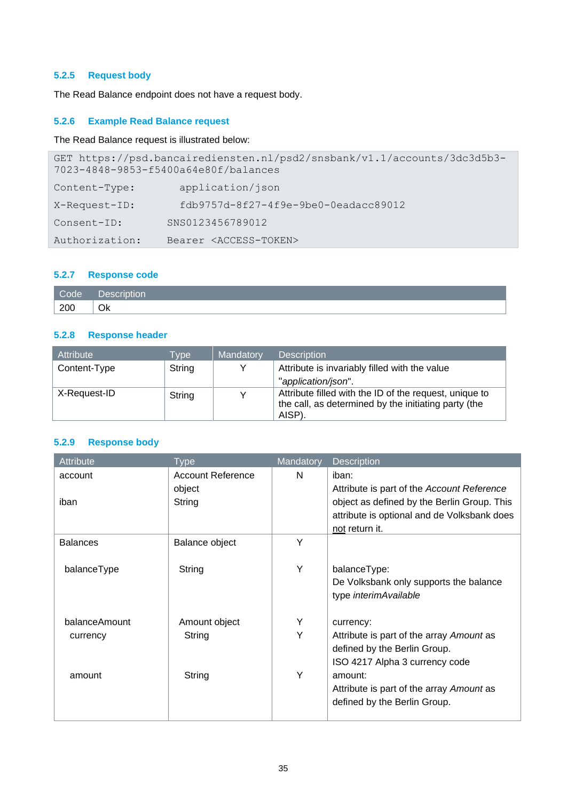## <span id="page-34-0"></span>**5.2.5 Request body**

The Read Balance endpoint does not have a request body.

## <span id="page-34-1"></span>**5.2.6 Example Read Balance request**

## The Read Balance request is illustrated below:

| GET https://psd.bancairediensten.nl/psd2/snsbank/v1.1/accounts/3dc3d5b3-<br>7023-4848-9853-f5400a64e80f/balances |                                        |  |  |  |
|------------------------------------------------------------------------------------------------------------------|----------------------------------------|--|--|--|
| Content-Type:                                                                                                    | application/json                       |  |  |  |
| X-Request-ID:                                                                                                    | $fdb9757d-8f27-4f9e-9be0-0eadacc89012$ |  |  |  |
| Consent-ID:                                                                                                      | SNS0123456789012                       |  |  |  |
| Authorization:                                                                                                   | Bearer <access-token></access-token>   |  |  |  |

### <span id="page-34-2"></span>**5.2.7 Response code**

| Code | $\sqrt{2}$ |
|------|------------|
| 200  | Ok         |

## <span id="page-34-3"></span>**5.2.8 Response header**

| Attribute    | <b>Type</b> | Mandatory | <b>Description</b>                                                                                                       |
|--------------|-------------|-----------|--------------------------------------------------------------------------------------------------------------------------|
| Content-Type | String      |           | Attribute is invariably filled with the value                                                                            |
|              |             |           | "application/json".                                                                                                      |
| X-Request-ID | String      |           | Attribute filled with the ID of the request, unique to<br>the call, as determined by the initiating party (the<br>AISP). |

## <span id="page-34-4"></span>**5.2.9 Response body**

| <b>Attribute</b> | Type                     | Mandatory | <b>Description</b>                          |
|------------------|--------------------------|-----------|---------------------------------------------|
| account          | <b>Account Reference</b> | N         | iban:                                       |
|                  | object                   |           | Attribute is part of the Account Reference  |
| iban             | String                   |           | object as defined by the Berlin Group. This |
|                  |                          |           | attribute is optional and de Volksbank does |
|                  |                          |           | not return it.                              |
| <b>Balances</b>  | Balance object           | Y         |                                             |
|                  |                          |           |                                             |
| balanceType      | String                   | Y         | balanceType:                                |
|                  |                          |           | De Volksbank only supports the balance      |
|                  |                          |           | type interimAvailable                       |
|                  |                          |           |                                             |
| balanceAmount    | Amount object            | Y         | currency:                                   |
| currency         | String                   | Υ         | Attribute is part of the array Amount as    |
|                  |                          |           | defined by the Berlin Group.                |
|                  |                          |           | ISO 4217 Alpha 3 currency code              |
| amount           | String                   | Y         | amount:                                     |
|                  |                          |           | Attribute is part of the array Amount as    |
|                  |                          |           | defined by the Berlin Group.                |
|                  |                          |           |                                             |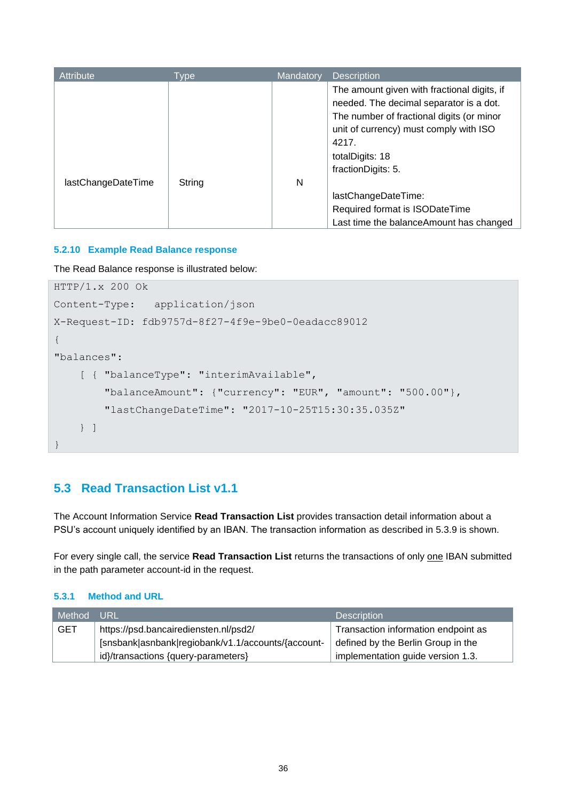| Attribute          | Type   | Mandatory | <b>Description</b>                                                                                                                                                                                                              |
|--------------------|--------|-----------|---------------------------------------------------------------------------------------------------------------------------------------------------------------------------------------------------------------------------------|
|                    |        |           | The amount given with fractional digits, if<br>needed. The decimal separator is a dot.<br>The number of fractional digits (or minor<br>unit of currency) must comply with ISO<br>4217.<br>totalDigits: 18<br>fractionDigits: 5. |
| lastChangeDateTime | String | N         | lastChangeDateTime:<br>Required format is ISODateTime                                                                                                                                                                           |
|                    |        |           | Last time the balance Amount has changed                                                                                                                                                                                        |

### <span id="page-35-0"></span>**5.2.10 Example Read Balance response**

The Read Balance response is illustrated below:

```
HTTP/1.x 200 Ok
Content-Type: application/json
X-Request-ID: fdb9757d-8f27-4f9e-9be0-0eadacc89012
{
"balances":
     [ { "balanceType": "interimAvailable",
         "balanceAmount": {"currency": "EUR", "amount": "500.00"},
         "lastChangeDateTime": "2017-10-25T15:30:35.035Z"
     } ]
}
```
## <span id="page-35-1"></span>**5.3 Read Transaction List v1.1**

The Account Information Service **Read Transaction List** provides transaction detail information about a PSU's account uniquely identified by an IBAN. The transaction information as described in 5.3.9 is shown.

For every single call, the service **Read Transaction List** returns the transactions of only one IBAN submitted in the path parameter account-id in the request.

### <span id="page-35-2"></span>**5.3.1 Method and URL**

| Method     | URL                                                | <b>Description</b>                  |
|------------|----------------------------------------------------|-------------------------------------|
| <b>GET</b> | https://psd.bancairediensten.nl/psd2/              | Transaction information endpoint as |
|            | [snsbank asnbank regiobank/v1.1/accounts/{account- | defined by the Berlin Group in the  |
|            | id}/transactions {query-parameters}                | implementation guide version 1.3.   |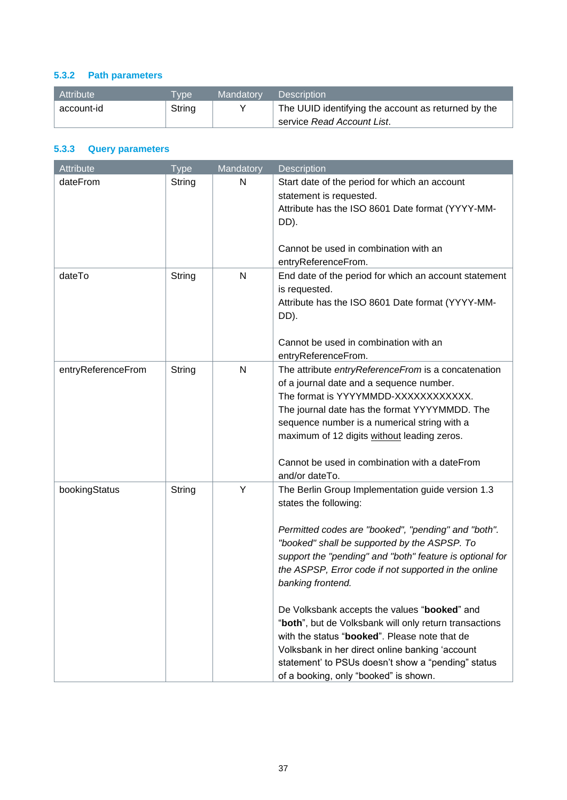## <span id="page-36-0"></span>**5.3.2 Path parameters**

| Attribute  | <b>Tvpe</b> | Mandatory | <b>Description</b>                                  |
|------------|-------------|-----------|-----------------------------------------------------|
| account-id | String      |           | The UUID identifying the account as returned by the |
|            |             |           | service Read Account List.                          |

## <span id="page-36-1"></span>**5.3.3 Query parameters**

| Attribute          | <b>Type</b> | Mandatory    | Description                                                                                                                                                                                                                                                                                                                                                                                                                                                                                                                                                                                                                             |
|--------------------|-------------|--------------|-----------------------------------------------------------------------------------------------------------------------------------------------------------------------------------------------------------------------------------------------------------------------------------------------------------------------------------------------------------------------------------------------------------------------------------------------------------------------------------------------------------------------------------------------------------------------------------------------------------------------------------------|
| dateFrom           | String      | N            | Start date of the period for which an account<br>statement is requested.<br>Attribute has the ISO 8601 Date format (YYYY-MM-<br>DD).<br>Cannot be used in combination with an<br>entryReferenceFrom.                                                                                                                                                                                                                                                                                                                                                                                                                                    |
| dateTo             | String      | $\mathsf{N}$ | End date of the period for which an account statement<br>is requested.<br>Attribute has the ISO 8601 Date format (YYYY-MM-<br>DD).<br>Cannot be used in combination with an<br>entryReferenceFrom.                                                                                                                                                                                                                                                                                                                                                                                                                                      |
| entryReferenceFrom | String      | $\mathsf{N}$ | The attribute entryReferenceFrom is a concatenation<br>of a journal date and a sequence number.<br>The format is YYYYMMDD-XXXXXXXXXXXX.<br>The journal date has the format YYYYMMDD. The<br>sequence number is a numerical string with a<br>maximum of 12 digits without leading zeros.<br>Cannot be used in combination with a dateFrom<br>and/or dateTo.                                                                                                                                                                                                                                                                              |
| bookingStatus      | String      | Y            | The Berlin Group Implementation guide version 1.3<br>states the following:<br>Permitted codes are "booked", "pending" and "both".<br>"booked" shall be supported by the ASPSP. To<br>support the "pending" and "both" feature is optional for<br>the ASPSP, Error code if not supported in the online<br>banking frontend.<br>De Volksbank accepts the values "booked" and<br>"both", but de Volksbank will only return transactions<br>with the status "booked". Please note that de<br>Volksbank in her direct online banking 'account<br>statement' to PSUs doesn't show a "pending" status<br>of a booking, only "booked" is shown. |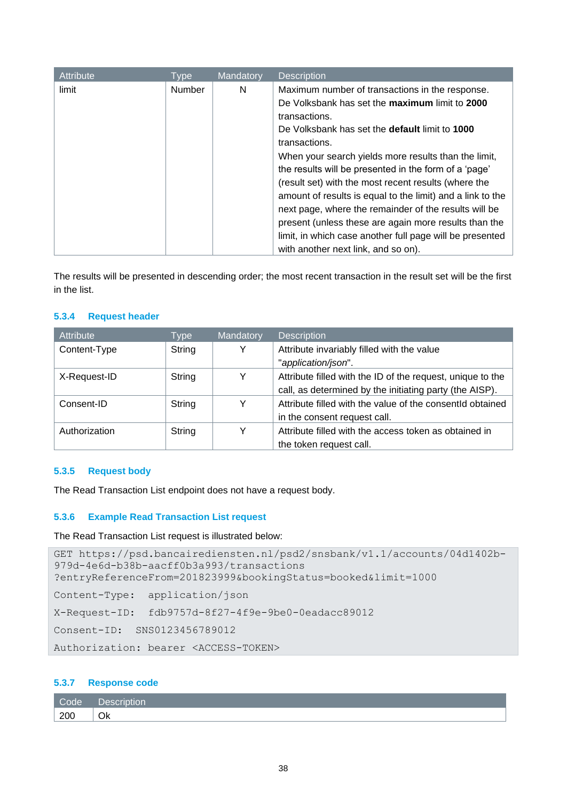| Attribute | Type   | Mandatory | <b>Description</b>                                                                                                                                                                                                                                                                                                                                                                                                                                                                                  |
|-----------|--------|-----------|-----------------------------------------------------------------------------------------------------------------------------------------------------------------------------------------------------------------------------------------------------------------------------------------------------------------------------------------------------------------------------------------------------------------------------------------------------------------------------------------------------|
| limit     | Number | N         | Maximum number of transactions in the response.<br>De Volksbank has set the maximum limit to 2000<br>transactions.<br>De Volksbank has set the <b>default</b> limit to <b>1000</b><br>transactions.<br>When your search yields more results than the limit,<br>the results will be presented in the form of a 'page'<br>(result set) with the most recent results (where the<br>amount of results is equal to the limit) and a link to the<br>next page, where the remainder of the results will be |
|           |        |           | present (unless these are again more results than the<br>limit, in which case another full page will be presented                                                                                                                                                                                                                                                                                                                                                                                   |
|           |        |           | with another next link, and so on).                                                                                                                                                                                                                                                                                                                                                                                                                                                                 |

The results will be presented in descending order; the most recent transaction in the result set will be the first in the list.

### **5.3.4 Request header**

| <b>Attribute</b> | Type   | Mandatory | <b>Description</b>                                         |
|------------------|--------|-----------|------------------------------------------------------------|
| Content-Type     | String | v         | Attribute invariably filled with the value                 |
|                  |        |           | "application/json".                                        |
| X-Request-ID     | String | Y         | Attribute filled with the ID of the request, unique to the |
|                  |        |           | call, as determined by the initiating party (the AISP).    |
| Consent-ID       | String |           | Attribute filled with the value of the consentid obtained  |
|                  |        |           | in the consent request call.                               |
| Authorization    | String |           | Attribute filled with the access token as obtained in      |
|                  |        |           | the token request call.                                    |

### <span id="page-37-0"></span>**5.3.5 Request body**

The Read Transaction List endpoint does not have a request body.

### <span id="page-37-1"></span>**5.3.6 Example Read Transaction List request**

The Read Transaction List request is illustrated below:

```
GET https://psd.bancairediensten.nl/psd2/snsbank/v1.1/accounts/04d1402b-
979d-4e6d-b38b-aacff0b3a993/transactions
?entryReferenceFrom=201823999&bookingStatus=booked&limit=1000
Content-Type: application/json
X-Request-ID: fdb9757d-8f27-4f9e-9be0-0eadacc89012
Consent-ID: SNS0123456789012
Authorization: bearer <ACCESS-TOKEN>
```
### <span id="page-37-2"></span>**5.3.7 Response code**

| $\vert$ Code $\vert$ | Description |
|----------------------|-------------|
| 200                  | Οk          |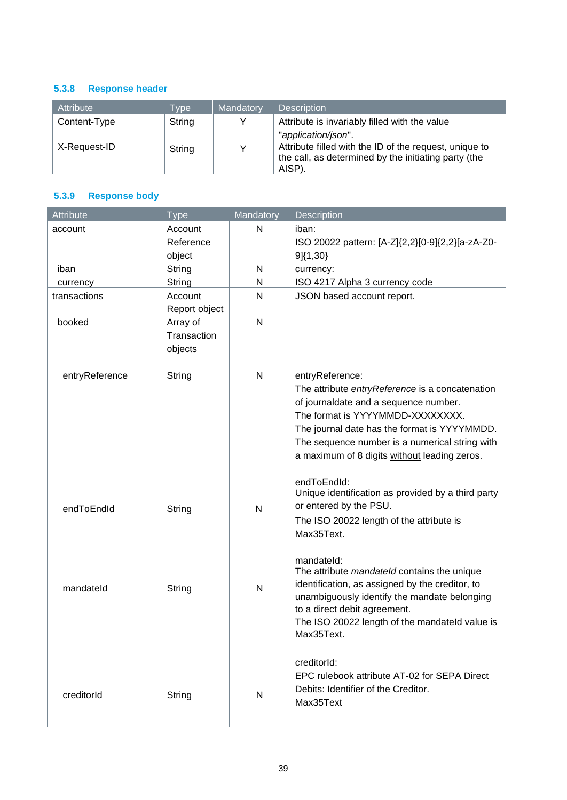## <span id="page-38-0"></span>**5.3.8 Response header**

| Attribute    | <b>Type</b> | Mandatory | <b>Description</b>                                                                                                       |
|--------------|-------------|-----------|--------------------------------------------------------------------------------------------------------------------------|
| Content-Type | String      |           | Attribute is invariably filled with the value                                                                            |
|              |             |           | "application/json".                                                                                                      |
| X-Request-ID | String      |           | Attribute filled with the ID of the request, unique to<br>the call, as determined by the initiating party (the<br>AISP). |

## <span id="page-38-1"></span>**5.3.9 Response body**

| Attribute      | <b>Type</b>               | Mandatory    | Description                                                                                    |
|----------------|---------------------------|--------------|------------------------------------------------------------------------------------------------|
| account        | Account                   | N            | iban:                                                                                          |
|                | Reference                 |              | ISO 20022 pattern: [A-Z]{2,2}[0-9]{2,2}[a-zA-Z0-                                               |
|                | object                    |              | 9}{1,30}                                                                                       |
| iban           | String                    | N            | currency:                                                                                      |
| currency       | String                    | N            | ISO 4217 Alpha 3 currency code                                                                 |
| transactions   | Account                   | N            | JSON based account report.                                                                     |
| booked         | Report object<br>Array of | N            |                                                                                                |
|                | Transaction               |              |                                                                                                |
|                | objects                   |              |                                                                                                |
|                |                           |              |                                                                                                |
| entryReference | String                    | N            | entryReference:                                                                                |
|                |                           |              | The attribute entryReference is a concatenation                                                |
|                |                           |              | of journaldate and a sequence number.                                                          |
|                |                           |              | The format is YYYYMMDD-XXXXXXXX.                                                               |
|                |                           |              | The journal date has the format is YYYYMMDD.                                                   |
|                |                           |              | The sequence number is a numerical string with                                                 |
|                |                           |              | a maximum of 8 digits without leading zeros.                                                   |
|                |                           |              | endToEndId:                                                                                    |
|                |                           |              | Unique identification as provided by a third party                                             |
| endToEndId     | String                    | $\mathsf{N}$ | or entered by the PSU.                                                                         |
|                |                           |              | The ISO 20022 length of the attribute is                                                       |
|                |                           |              | Max35Text.                                                                                     |
|                |                           |              |                                                                                                |
|                |                           |              | mandateld:                                                                                     |
|                |                           |              | The attribute mandateld contains the unique<br>identification, as assigned by the creditor, to |
| mandateld      | String                    | N            | unambiguously identify the mandate belonging                                                   |
|                |                           |              | to a direct debit agreement.                                                                   |
|                |                           |              | The ISO 20022 length of the mandateld value is                                                 |
|                |                           |              | Max35Text.                                                                                     |
|                |                           |              |                                                                                                |
|                |                           |              | creditorId:                                                                                    |
|                |                           |              | EPC rulebook attribute AT-02 for SEPA Direct                                                   |
| creditorId     | String                    | N            | Debits: Identifier of the Creditor.                                                            |
|                |                           |              | Max35Text                                                                                      |
|                |                           |              |                                                                                                |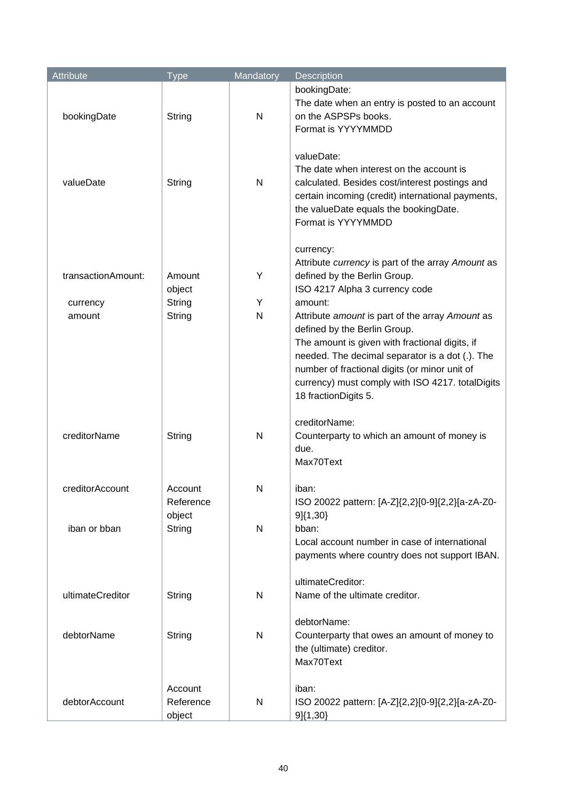| Attribute          | <b>Type</b>                    | Mandatory | Description                                                                                                                                                                                                                                                                                                                  |
|--------------------|--------------------------------|-----------|------------------------------------------------------------------------------------------------------------------------------------------------------------------------------------------------------------------------------------------------------------------------------------------------------------------------------|
| bookingDate        | String                         | N         | bookingDate:<br>The date when an entry is posted to an account<br>on the ASPSPs books.<br>Format is YYYYMMDD                                                                                                                                                                                                                 |
| valueDate          | String                         | N         | valueDate:<br>The date when interest on the account is<br>calculated. Besides cost/interest postings and<br>certain incoming (credit) international payments,<br>the valueDate equals the bookingDate.<br>Format is YYYYMMDD                                                                                                 |
| transactionAmount: | Amount<br>object               | Υ         | currency:<br>Attribute currency is part of the array Amount as<br>defined by the Berlin Group.<br>ISO 4217 Alpha 3 currency code                                                                                                                                                                                             |
| currency<br>amount | String<br>String               | Y<br>N    | amount:<br>Attribute amount is part of the array Amount as<br>defined by the Berlin Group.<br>The amount is given with fractional digits, if<br>needed. The decimal separator is a dot (.). The<br>number of fractional digits (or minor unit of<br>currency) must comply with ISO 4217. totalDigits<br>18 fractionDigits 5. |
| creditorName       | String                         | N         | creditorName:<br>Counterparty to which an amount of money is<br>due.<br>Max70Text                                                                                                                                                                                                                                            |
| creditorAccount    | Account<br>Reference<br>object | Ν         | iban:<br>ISO 20022 pattern: [A-Z]{2,2}[0-9]{2,2}[a-zA-Z0-<br>$9]{1,30}$                                                                                                                                                                                                                                                      |
| iban or bban       | String                         | N         | bban:<br>Local account number in case of international<br>payments where country does not support IBAN.                                                                                                                                                                                                                      |
| ultimateCreditor   | String                         | N         | ultimateCreditor:<br>Name of the ultimate creditor.                                                                                                                                                                                                                                                                          |
| debtorName         | String                         | N         | debtorName:<br>Counterparty that owes an amount of money to<br>the (ultimate) creditor.<br>Max70Text                                                                                                                                                                                                                         |
| debtorAccount      | Account<br>Reference<br>object | N         | iban:<br>ISO 20022 pattern: [A-Z]{2,2}[0-9]{2,2}[a-zA-Z0-<br>9]{1,30}                                                                                                                                                                                                                                                        |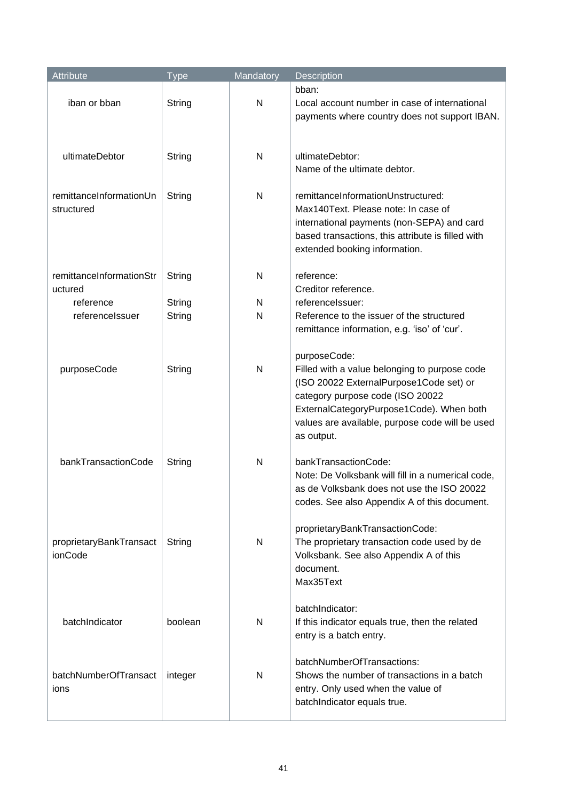| Attribute                             | <b>Type</b> | Mandatory | Description                                                                                                                                                                                                                                               |
|---------------------------------------|-------------|-----------|-----------------------------------------------------------------------------------------------------------------------------------------------------------------------------------------------------------------------------------------------------------|
| iban or bban                          | String      | N         | bban:<br>Local account number in case of international<br>payments where country does not support IBAN.                                                                                                                                                   |
| ultimateDebtor                        | String      | N         | ultimateDebtor:<br>Name of the ultimate debtor.                                                                                                                                                                                                           |
| remittanceInformationUn<br>structured | String      | N         | remittanceInformationUnstructured:<br>Max140Text. Please note: In case of<br>international payments (non-SEPA) and card<br>based transactions, this attribute is filled with<br>extended booking information.                                             |
| remittanceInformationStr<br>uctured   | String      | N         | reference:<br>Creditor reference.                                                                                                                                                                                                                         |
| reference                             | String      | N         | referencelssuer:                                                                                                                                                                                                                                          |
| referencelssuer                       | String      | N         | Reference to the issuer of the structured<br>remittance information, e.g. 'iso' of 'cur'.                                                                                                                                                                 |
| purposeCode                           | String      | N         | purposeCode:<br>Filled with a value belonging to purpose code<br>(ISO 20022 ExternalPurpose1Code set) or<br>category purpose code (ISO 20022<br>ExternalCategoryPurpose1Code). When both<br>values are available, purpose code will be used<br>as output. |
| bankTransactionCode                   | String      | N         | bankTransactionCode:<br>Note: De Volksbank will fill in a numerical code,<br>as de Volksbank does not use the ISO 20022<br>codes. See also Appendix A of this document.                                                                                   |
| proprietaryBankTransact<br>ionCode    | String      | N         | proprietaryBankTransactionCode:<br>The proprietary transaction code used by de<br>Volksbank. See also Appendix A of this<br>document.<br>Max35Text                                                                                                        |
| batchIndicator                        | boolean     | N         | batchIndicator:<br>If this indicator equals true, then the related<br>entry is a batch entry.                                                                                                                                                             |
| batchNumberOfTransact<br>ions         | integer     | N         | batchNumberOfTransactions:<br>Shows the number of transactions in a batch<br>entry. Only used when the value of<br>batchIndicator equals true.                                                                                                            |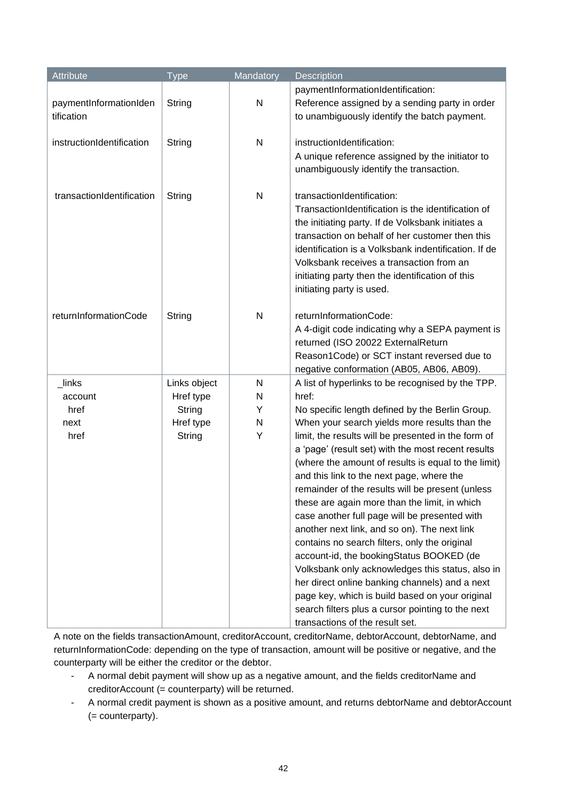| Attribute                            | <b>Type</b>  | Mandatory    | Description                                                                                                                                                                                                                                                                                                                                                                   |
|--------------------------------------|--------------|--------------|-------------------------------------------------------------------------------------------------------------------------------------------------------------------------------------------------------------------------------------------------------------------------------------------------------------------------------------------------------------------------------|
| paymentInformationIden<br>tification | String       | $\mathsf{N}$ | paymentInformationIdentification:<br>Reference assigned by a sending party in order<br>to unambiguously identify the batch payment.                                                                                                                                                                                                                                           |
| instructionIdentification            | String       | $\mathsf{N}$ | instructionIdentification:<br>A unique reference assigned by the initiator to<br>unambiguously identify the transaction.                                                                                                                                                                                                                                                      |
| transactionIdentification            | String       | $\mathsf{N}$ | transactionIdentification:<br>TransactionIdentification is the identification of<br>the initiating party. If de Volksbank initiates a<br>transaction on behalf of her customer then this<br>identification is a Volksbank indentification. If de<br>Volksbank receives a transaction from an<br>initiating party then the identification of this<br>initiating party is used. |
| returnInformationCode                | String       | $\mathsf{N}$ | returnInformationCode:<br>A 4-digit code indicating why a SEPA payment is<br>returned (ISO 20022 ExternalReturn<br>Reason1Code) or SCT instant reversed due to<br>negative conformation (AB05, AB06, AB09).                                                                                                                                                                   |
| _links                               | Links object | N            | A list of hyperlinks to be recognised by the TPP.                                                                                                                                                                                                                                                                                                                             |
| account                              | Href type    | N            | href:                                                                                                                                                                                                                                                                                                                                                                         |
| href                                 | String       | Y            | No specific length defined by the Berlin Group.                                                                                                                                                                                                                                                                                                                               |
| next                                 | Href type    | N            | When your search yields more results than the                                                                                                                                                                                                                                                                                                                                 |
| href                                 | String       | Υ            | limit, the results will be presented in the form of                                                                                                                                                                                                                                                                                                                           |
|                                      |              |              | a 'page' (result set) with the most recent results                                                                                                                                                                                                                                                                                                                            |
|                                      |              |              | (where the amount of results is equal to the limit)                                                                                                                                                                                                                                                                                                                           |
|                                      |              |              | and this link to the next page, where the                                                                                                                                                                                                                                                                                                                                     |
|                                      |              |              | remainder of the results will be present (unless                                                                                                                                                                                                                                                                                                                              |
|                                      |              |              | these are again more than the limit, in which                                                                                                                                                                                                                                                                                                                                 |
|                                      |              |              | case another full page will be presented with                                                                                                                                                                                                                                                                                                                                 |
|                                      |              |              | another next link, and so on). The next link                                                                                                                                                                                                                                                                                                                                  |
|                                      |              |              | contains no search filters, only the original                                                                                                                                                                                                                                                                                                                                 |
|                                      |              |              | account-id, the bookingStatus BOOKED (de                                                                                                                                                                                                                                                                                                                                      |
|                                      |              |              | Volksbank only acknowledges this status, also in<br>her direct online banking channels) and a next                                                                                                                                                                                                                                                                            |
|                                      |              |              | page key, which is build based on your original                                                                                                                                                                                                                                                                                                                               |
|                                      |              |              | search filters plus a cursor pointing to the next                                                                                                                                                                                                                                                                                                                             |
|                                      |              |              | transactions of the result set.                                                                                                                                                                                                                                                                                                                                               |

A note on the fields transactionAmount, creditorAccount, creditorName, debtorAccount, debtorName, and returnInformationCode: depending on the type of transaction, amount will be positive or negative, and the counterparty will be either the creditor or the debtor.

- A normal debit payment will show up as a negative amount, and the fields creditorName and creditorAccount (= counterparty) will be returned.
- A normal credit payment is shown as a positive amount, and returns debtorName and debtorAccount (= counterparty).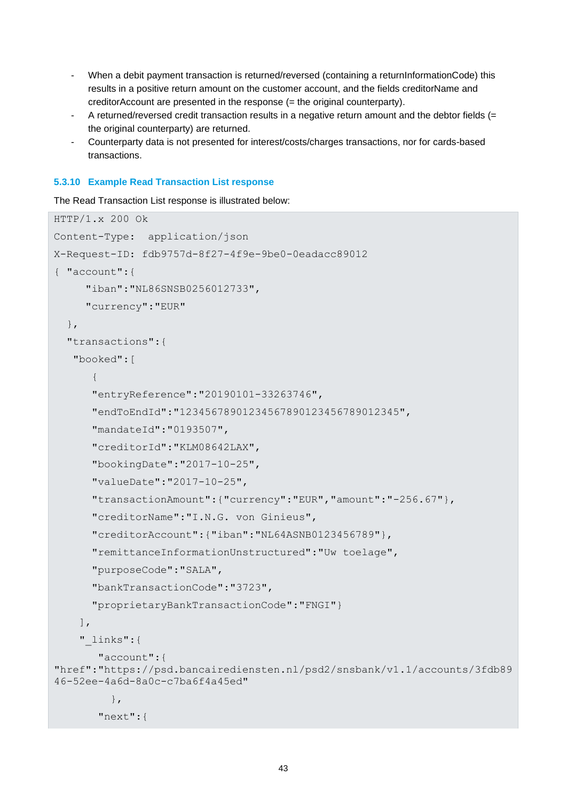- When a debit payment transaction is returned/reversed (containing a returnInformationCode) this results in a positive return amount on the customer account, and the fields creditorName and creditorAccount are presented in the response (= the original counterparty).
- A returned/reversed credit transaction results in a negative return amount and the debtor fields (= the original counterparty) are returned.
- Counterparty data is not presented for interest/costs/charges transactions, nor for cards-based transactions.

### <span id="page-42-0"></span>**5.3.10 Example Read Transaction List response**

The Read Transaction List response is illustrated below:

```
HTTP/1.x 200 Ok
Content-Type: application/json
X-Request-ID: fdb9757d-8f27-4f9e-9be0-0eadacc89012
{ "account":{
      "iban":"NL86SNSB0256012733",
      "currency":"EUR"
   },
   "transactions":{
    "booked":[
\left\{ \begin{array}{cc} 0 & 0 \\ 0 & 0 \end{array} \right. "entryReference":"20190101-33263746",
       "endToEndId":"12345678901234567890123456789012345",
       "mandateId":"0193507",
       "creditorId":"KLM08642LAX",
       "bookingDate":"2017-10-25",
       "valueDate":"2017-10-25",
       "transactionAmount":{"currency":"EUR","amount":"-256.67"},
       "creditorName":"I.N.G. von Ginieus",
       "creditorAccount":{"iban":"NL64ASNB0123456789"}, 
        "remittanceInformationUnstructured":"Uw toelage",
       "purposeCode":"SALA",
       "bankTransactionCode":"3723",
        "proprietaryBankTransactionCode":"FNGI"}
     ],
     "_links":{
         "account":{
"href":"https://psd.bancairediensten.nl/psd2/snsbank/v1.1/accounts/3fdb89
46-52ee-4a6d-8a0c-c7ba6f4a45ed"
           },
         "next":{
```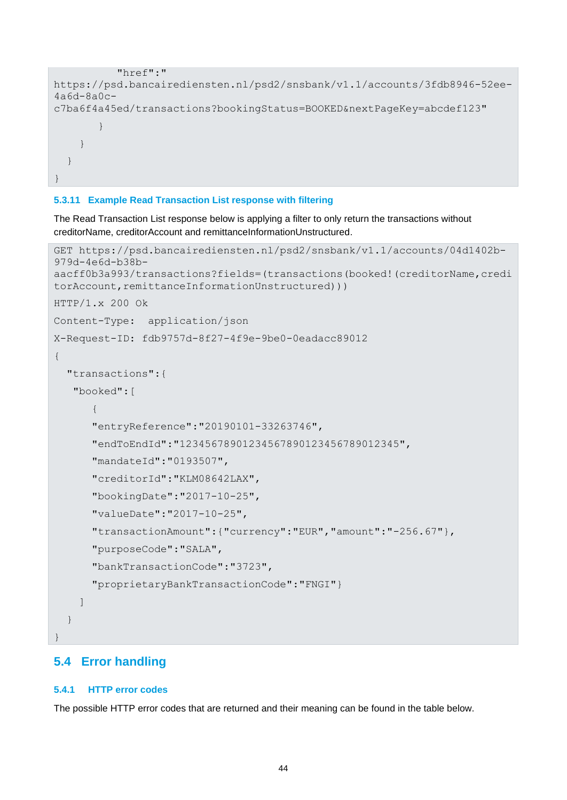```
 "href":"
https://psd.bancairediensten.nl/psd2/snsbank/v1.1/accounts/3fdb8946-52ee-
4a6d-8a0c-
c7ba6f4a45ed/transactions?bookingStatus=BOOKED&nextPageKey=abcdef123"
 }
 }
  }
}
```
### <span id="page-43-0"></span>**5.3.11 Example Read Transaction List response with filtering**

The Read Transaction List response below is applying a filter to only return the transactions without creditorName, creditorAccount and remittanceInformationUnstructured.

```
GET https://psd.bancairediensten.nl/psd2/snsbank/v1.1/accounts/04d1402b-
979d-4e6d-b38b-
aacff0b3a993/transactions?fields=(transactions(booked!(creditorName,credi
torAccount, remittanceInformationUnstructured)))
HTTP/1.x 200 Ok
Content-Type: application/json
X-Request-ID: fdb9757d-8f27-4f9e-9be0-0eadacc89012
{
    "transactions":{
     "booked":[
\left\{ \begin{array}{ccc} 0 & 0 & 0 \\ 0 & 0 & 0 \\ 0 & 0 & 0 \\ 0 & 0 & 0 \\ 0 & 0 & 0 \\ 0 & 0 & 0 \\ 0 & 0 & 0 \\ 0 & 0 & 0 \\ 0 & 0 & 0 \\ 0 & 0 & 0 \\ 0 & 0 & 0 \\ 0 & 0 & 0 \\ 0 & 0 & 0 \\ 0 & 0 & 0 & 0 \\ 0 & 0 & 0 & 0 \\ 0 & 0 & 0 & 0 \\ 0 & 0 & 0 & 0 & 0 \\ 0 & 0 & 0 & 0 & 0 \\ 0 & 0 & 0 & 0 & 0 \\ 0 & 0 & 0 & 0 "entryReference":"20190101-33263746",
          "endToEndId":"12345678901234567890123456789012345",
          "mandateId":"0193507",
          "creditorId":"KLM08642LAX",
          "bookingDate":"2017-10-25",
          "valueDate":"2017-10-25",
          "transactionAmount":{"currency":"EUR","amount":"-256.67"},
          "purposeCode":"SALA",
          "bankTransactionCode":"3723",
          "proprietaryBankTransactionCode":"FNGI"}
       ]
    }
}
```
## <span id="page-43-1"></span>**5.4 Error handling**

### <span id="page-43-2"></span>**5.4.1 HTTP error codes**

The possible HTTP error codes that are returned and their meaning can be found in the table below.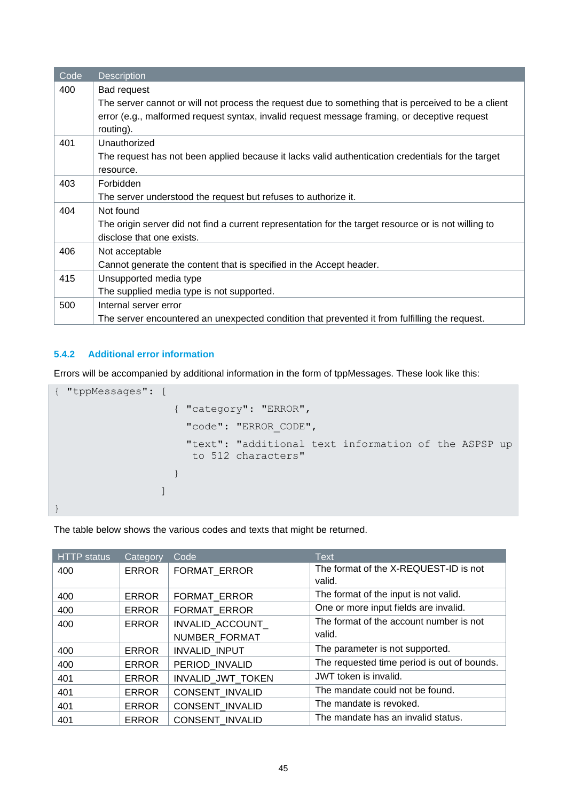| Code | <b>Description</b>                                                                                   |
|------|------------------------------------------------------------------------------------------------------|
| 400  | <b>Bad request</b>                                                                                   |
|      | The server cannot or will not process the request due to something that is perceived to be a client  |
|      | error (e.g., malformed request syntax, invalid request message framing, or deceptive request         |
|      | routing).                                                                                            |
| 401  | Unauthorized                                                                                         |
|      | The request has not been applied because it lacks valid authentication credentials for the target    |
|      | resource.                                                                                            |
| 403  | Forbidden                                                                                            |
|      | The server understood the request but refuses to authorize it.                                       |
| 404  | Not found                                                                                            |
|      | The origin server did not find a current representation for the target resource or is not willing to |
|      | disclose that one exists.                                                                            |
| 406  | Not acceptable                                                                                       |
|      | Cannot generate the content that is specified in the Accept header.                                  |
| 415  | Unsupported media type                                                                               |
|      | The supplied media type is not supported.                                                            |
| 500  | Internal server error                                                                                |
|      | The server encountered an unexpected condition that prevented it from fulfilling the request.        |

## <span id="page-44-0"></span>**5.4.2 Additional error information**

Errors will be accompanied by additional information in the form of tppMessages. These look like this:

```
{ "tppMessages": [
                     { "category": "ERROR",
                      "code": "ERROR_CODE",
                      "text": "additional text information of the ASPSP up 
                       to 512 characters" 
 }
and the state of the state of the
}
```
The table below shows the various codes and texts that might be returned.

| HTTP status | Category     | Code                   | <b>Text</b>                                 |
|-------------|--------------|------------------------|---------------------------------------------|
| 400         | <b>ERROR</b> | FORMAT_ERROR           | The format of the X-REQUEST-ID is not       |
|             |              |                        | valid.                                      |
| 400         | <b>ERROR</b> | <b>FORMAT ERROR</b>    | The format of the input is not valid.       |
| 400         | <b>ERROR</b> | <b>FORMAT ERROR</b>    | One or more input fields are invalid.       |
| 400         | <b>ERROR</b> | <b>INVALID ACCOUNT</b> | The format of the account number is not     |
|             |              | NUMBER FORMAT          | valid.                                      |
| 400         | <b>ERROR</b> | <b>INVALID INPUT</b>   | The parameter is not supported.             |
| 400         | <b>ERROR</b> | PERIOD INVALID         | The requested time period is out of bounds. |
| 401         | <b>ERROR</b> | INVALID JWT TOKEN      | JWT token is invalid.                       |
| 401         | <b>ERROR</b> | <b>CONSENT INVALID</b> | The mandate could not be found.             |
| 401         | <b>ERROR</b> | <b>CONSENT INVALID</b> | The mandate is revoked.                     |
| 401         | <b>ERROR</b> | <b>CONSENT INVALID</b> | The mandate has an invalid status.          |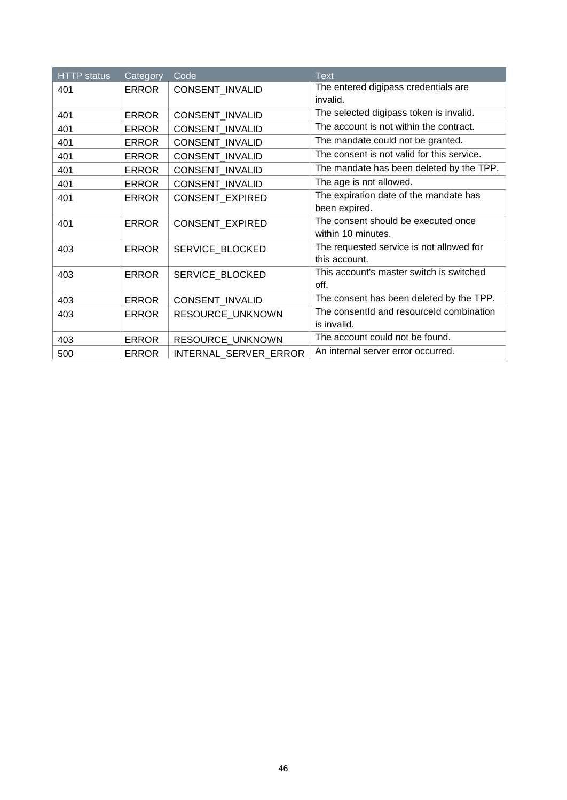| <b>HTTP</b> status | Category     | Code                   | <b>Text</b>                                |
|--------------------|--------------|------------------------|--------------------------------------------|
| 401                | <b>ERROR</b> | CONSENT_INVALID        | The entered digipass credentials are       |
|                    |              |                        | invalid.                                   |
| 401                | <b>ERROR</b> | <b>CONSENT INVALID</b> | The selected digipass token is invalid.    |
| 401                | <b>ERROR</b> | CONSENT_INVALID        | The account is not within the contract.    |
| 401                | <b>ERROR</b> | CONSENT_INVALID        | The mandate could not be granted.          |
| 401                | <b>ERROR</b> | CONSENT_INVALID        | The consent is not valid for this service. |
| 401                | <b>ERROR</b> | CONSENT_INVALID        | The mandate has been deleted by the TPP.   |
| 401                | <b>ERROR</b> | CONSENT_INVALID        | The age is not allowed.                    |
| 401                | <b>ERROR</b> | CONSENT_EXPIRED        | The expiration date of the mandate has     |
|                    |              |                        | been expired.                              |
| 401                | <b>ERROR</b> | CONSENT_EXPIRED        | The consent should be executed once        |
|                    |              |                        | within 10 minutes.                         |
| 403                | <b>ERROR</b> | SERVICE BLOCKED        | The requested service is not allowed for   |
|                    |              |                        | this account.                              |
| 403                | <b>ERROR</b> | SERVICE BLOCKED        | This account's master switch is switched   |
|                    |              |                        | off.                                       |
| 403                | <b>ERROR</b> | CONSENT_INVALID        | The consent has been deleted by the TPP.   |
| 403                | <b>ERROR</b> | RESOURCE_UNKNOWN       | The consentid and resourceld combination   |
|                    |              |                        | is invalid.                                |
| 403                | <b>ERROR</b> | RESOURCE UNKNOWN       | The account could not be found.            |
| 500                | <b>ERROR</b> | INTERNAL SERVER ERROR  | An internal server error occurred.         |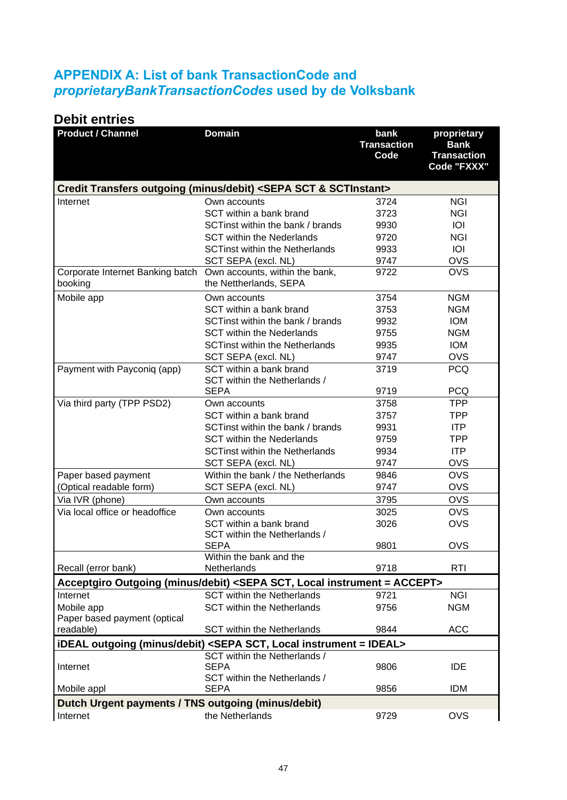# <span id="page-46-0"></span>**APPENDIX A: List of bank TransactionCode and**  *proprietaryBankTransactionCodes* **used by de Volksbank**

# **Debit entries**

| <b>Product / Channel</b>                           | <b>Domain</b>                                                                                                   | bank<br><b>Transaction</b><br>Code | proprietary<br><b>Bank</b><br><b>Transaction</b><br>Code "FXXX" |
|----------------------------------------------------|-----------------------------------------------------------------------------------------------------------------|------------------------------------|-----------------------------------------------------------------|
|                                                    | Credit Transfers outgoing (minus/debit) <sepa &="" sct="" sctinstant=""></sepa>                                 |                                    |                                                                 |
| Internet                                           | Own accounts                                                                                                    | 3724                               | <b>NGI</b>                                                      |
|                                                    | SCT within a bank brand                                                                                         | 3723                               | <b>NGI</b>                                                      |
|                                                    | SCTinst within the bank / brands                                                                                | 9930                               | <b>IOI</b>                                                      |
|                                                    | <b>SCT within the Nederlands</b>                                                                                | 9720                               | <b>NGI</b>                                                      |
|                                                    | <b>SCTinst within the Netherlands</b>                                                                           | 9933                               | IOI                                                             |
|                                                    | SCT SEPA (excl. NL)                                                                                             | 9747                               | <b>OVS</b>                                                      |
| Corporate Internet Banking batch<br>booking        | Own accounts, within the bank,<br>the Nettherlands, SEPA                                                        | 9722                               | <b>OVS</b>                                                      |
| Mobile app                                         | Own accounts                                                                                                    | 3754                               | <b>NGM</b>                                                      |
|                                                    | SCT within a bank brand                                                                                         | 3753                               | <b>NGM</b>                                                      |
|                                                    | SCTinst within the bank / brands                                                                                | 9932                               | <b>IOM</b>                                                      |
|                                                    | <b>SCT within the Nederlands</b>                                                                                | 9755                               | <b>NGM</b>                                                      |
|                                                    | <b>SCTinst within the Netherlands</b>                                                                           | 9935                               | <b>IOM</b>                                                      |
|                                                    | SCT SEPA (excl. NL)                                                                                             | 9747                               | <b>OVS</b>                                                      |
| Payment with Payconiq (app)                        | SCT within a bank brand<br>SCT within the Netherlands /                                                         | 3719                               | <b>PCQ</b>                                                      |
|                                                    | <b>SEPA</b>                                                                                                     | 9719                               | <b>PCQ</b>                                                      |
| Via third party (TPP PSD2)                         | Own accounts                                                                                                    | 3758                               | <b>TPP</b>                                                      |
|                                                    | SCT within a bank brand                                                                                         | 3757                               | <b>TPP</b>                                                      |
|                                                    | SCTinst within the bank / brands                                                                                | 9931                               | <b>ITP</b>                                                      |
|                                                    | <b>SCT within the Nederlands</b>                                                                                | 9759                               | TPP                                                             |
|                                                    | <b>SCTinst within the Netherlands</b>                                                                           | 9934                               | ITP                                                             |
|                                                    | SCT SEPA (excl. NL)<br>Within the bank / the Netherlands                                                        | 9747                               | <b>OVS</b><br><b>OVS</b>                                        |
| Paper based payment                                |                                                                                                                 | 9846<br>9747                       | <b>OVS</b>                                                      |
| (Optical readable form)                            | SCT SEPA (excl. NL)                                                                                             | 3795                               | <b>OVS</b>                                                      |
| Via IVR (phone)<br>Via local office or headoffice  | Own accounts<br>Own accounts                                                                                    | 3025                               | <b>OVS</b>                                                      |
|                                                    | SCT within a bank brand                                                                                         | 3026                               | <b>OVS</b>                                                      |
|                                                    | SCT within the Netherlands /                                                                                    |                                    |                                                                 |
|                                                    | <b>SEPA</b>                                                                                                     | 9801                               | <b>OVS</b>                                                      |
| Recall (error bank)                                | Within the bank and the<br>Netherlands                                                                          | 9718                               | RTI                                                             |
|                                                    | Acceptgiro Outgoing (minus/debit) <sepa instrument="ACCEPT" local="" sct,=""></sepa>                            |                                    |                                                                 |
| Internet                                           | <b>SCT within the Netherlands</b>                                                                               | 9721                               | <b>NGI</b>                                                      |
| Mobile app                                         | <b>SCT within the Netherlands</b>                                                                               | 9756                               | <b>NGM</b>                                                      |
| Paper based payment (optical                       |                                                                                                                 |                                    |                                                                 |
| readable)                                          | <b>SCT within the Netherlands</b>                                                                               | 9844                               | <b>ACC</b>                                                      |
|                                                    | iDEAL outgoing (minus/debit) <sepa instrument="IDEAL" local="" sct,=""><br/>SCT within the Netherlands /</sepa> |                                    |                                                                 |
| Internet                                           | <b>SEPA</b>                                                                                                     | 9806                               | <b>IDE</b>                                                      |
|                                                    | SCT within the Netherlands /                                                                                    |                                    |                                                                 |
| Mobile appl                                        | <b>SEPA</b>                                                                                                     | 9856                               | <b>IDM</b>                                                      |
| Dutch Urgent payments / TNS outgoing (minus/debit) |                                                                                                                 |                                    |                                                                 |
| Internet                                           | the Netherlands                                                                                                 | 9729                               | <b>OVS</b>                                                      |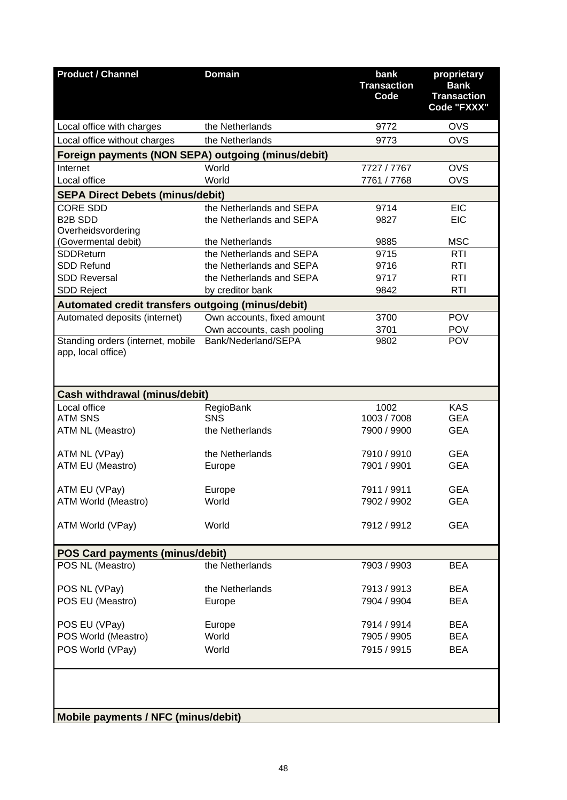| <b>Product / Channel</b>                           | <b>Domain</b>                                     | bank<br><b>Transaction</b><br>Code | proprietary<br><b>Bank</b><br><b>Transaction</b><br>Code "FXXX" |
|----------------------------------------------------|---------------------------------------------------|------------------------------------|-----------------------------------------------------------------|
| Local office with charges                          | the Netherlands                                   | 9772                               | <b>OVS</b>                                                      |
| Local office without charges                       | the Netherlands                                   | 9773                               | <b>OVS</b>                                                      |
| Foreign payments (NON SEPA) outgoing (minus/debit) |                                                   |                                    |                                                                 |
| Internet                                           | World                                             | 7727 / 7767                        | <b>OVS</b>                                                      |
| Local office                                       | World                                             | 7761 / 7768                        | <b>OVS</b>                                                      |
| <b>SEPA Direct Debets (minus/debit)</b>            |                                                   |                                    |                                                                 |
| <b>CORE SDD</b>                                    | the Netherlands and SEPA                          | 9714                               | <b>EIC</b>                                                      |
| <b>B2B SDD</b>                                     | the Netherlands and SEPA                          | 9827                               | <b>EIC</b>                                                      |
| Overheidsvordering                                 |                                                   |                                    |                                                                 |
| (Govermental debit)                                | the Netherlands                                   | 9885                               | <b>MSC</b>                                                      |
| <b>SDDReturn</b>                                   | the Netherlands and SEPA                          | 9715                               | <b>RTI</b>                                                      |
| <b>SDD Refund</b>                                  | the Netherlands and SEPA                          | 9716                               | RTI                                                             |
| <b>SDD Reversal</b>                                | the Netherlands and SEPA                          | 9717                               | <b>RTI</b>                                                      |
| <b>SDD Reject</b>                                  | by creditor bank                                  | 9842                               | <b>RTI</b>                                                      |
|                                                    |                                                   |                                    |                                                                 |
| Automated credit transfers outgoing (minus/debit)  |                                                   |                                    | <b>POV</b>                                                      |
| Automated deposits (internet)                      | Own accounts, fixed amount                        | 3700                               |                                                                 |
| Standing orders (internet, mobile                  | Own accounts, cash pooling<br>Bank/Nederland/SEPA | 3701<br>9802                       | <b>POV</b><br><b>POV</b>                                        |
| app, local office)                                 |                                                   |                                    |                                                                 |
| <b>Cash withdrawal (minus/debit)</b>               |                                                   |                                    |                                                                 |
| Local office                                       | RegioBank                                         | 1002                               | <b>KAS</b>                                                      |
| <b>ATM SNS</b>                                     | <b>SNS</b>                                        | 1003 / 7008                        | <b>GEA</b>                                                      |
| ATM NL (Meastro)                                   | the Netherlands                                   | 7900 / 9900                        | <b>GEA</b>                                                      |
|                                                    |                                                   |                                    |                                                                 |
| ATM NL (VPay)                                      | the Netherlands                                   | 7910 / 9910                        | <b>GEA</b>                                                      |
| ATM EU (Meastro)                                   | Europe                                            | 7901 / 9901                        | <b>GEA</b>                                                      |
| ATM EU (VPay)                                      | Europe                                            | 7911 / 9911                        | <b>GEA</b>                                                      |
| ATM World (Meastro)                                | World                                             | 7902 / 9902                        | <b>GEA</b>                                                      |
|                                                    |                                                   |                                    |                                                                 |
| ATM World (VPay)                                   | World                                             | 7912 / 9912                        | <b>GEA</b>                                                      |
| <b>POS Card payments (minus/debit)</b>             |                                                   |                                    |                                                                 |
| POS NL (Meastro)                                   | the Netherlands                                   | 7903 / 9903                        | <b>BEA</b>                                                      |
|                                                    |                                                   |                                    |                                                                 |
| POS NL (VPay)                                      | the Netherlands                                   | 7913 / 9913                        | <b>BEA</b>                                                      |
| POS EU (Meastro)                                   | Europe                                            | 7904 / 9904                        | <b>BEA</b>                                                      |
|                                                    |                                                   |                                    |                                                                 |
| POS EU (VPay)                                      | Europe                                            | 7914 / 9914                        | <b>BEA</b>                                                      |
| POS World (Meastro)                                | World                                             | 7905 / 9905                        | <b>BEA</b>                                                      |
| POS World (VPay)                                   | World                                             | 7915 / 9915                        | <b>BEA</b>                                                      |
| Mobile payments / NFC (minus/debit)                |                                                   |                                    |                                                                 |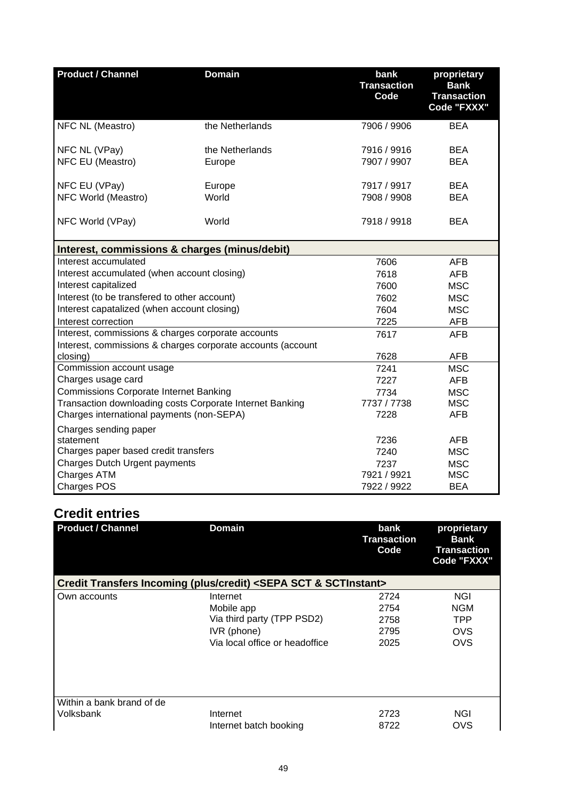| <b>Product / Channel</b>                                                                              | <b>Domain</b>                                               | bank<br><b>Transaction</b><br>Code | proprietary<br><b>Bank</b><br><b>Transaction</b><br>Code "FXXX" |
|-------------------------------------------------------------------------------------------------------|-------------------------------------------------------------|------------------------------------|-----------------------------------------------------------------|
| NFC NL (Meastro)                                                                                      | the Netherlands                                             | 7906 / 9906                        | <b>BEA</b>                                                      |
| NFC NL (VPay)                                                                                         | the Netherlands                                             | 7916 / 9916                        | <b>BEA</b>                                                      |
| NFC EU (Meastro)                                                                                      | Europe                                                      | 7907 / 9907                        | <b>BEA</b>                                                      |
| NFC EU (VPay)                                                                                         | Europe                                                      | 7917 / 9917                        | <b>BEA</b>                                                      |
| NFC World (Meastro)                                                                                   | World                                                       | 7908 / 9908                        | <b>BEA</b>                                                      |
| NFC World (VPay)                                                                                      | World                                                       | 7918 / 9918                        | <b>BEA</b>                                                      |
| Interest, commissions & charges (minus/debit)                                                         |                                                             |                                    |                                                                 |
| Interest accumulated                                                                                  |                                                             | 7606                               | AFB                                                             |
| Interest accumulated (when account closing)                                                           |                                                             | 7618                               | <b>AFB</b>                                                      |
| Interest capitalized                                                                                  |                                                             | 7600                               | <b>MSC</b>                                                      |
| Interest (to be transfered to other account)                                                          |                                                             | 7602                               | <b>MSC</b>                                                      |
| Interest capatalized (when account closing)                                                           |                                                             | 7604                               | <b>MSC</b>                                                      |
| Interest correction                                                                                   |                                                             | 7225                               | <b>AFB</b>                                                      |
| Interest, commissions & charges corporate accounts                                                    |                                                             | 7617                               | <b>AFB</b>                                                      |
|                                                                                                       | Interest, commissions & charges corporate accounts (account |                                    |                                                                 |
| closing)                                                                                              |                                                             | 7628                               | <b>AFB</b>                                                      |
| Commission account usage                                                                              |                                                             | 7241                               | <b>MSC</b>                                                      |
| Charges usage card                                                                                    |                                                             | 7227                               | <b>AFB</b>                                                      |
| Commissions Corporate Internet Banking                                                                |                                                             | 7734                               | <b>MSC</b><br><b>MSC</b>                                        |
| Transaction downloading costs Corporate Internet Banking<br>Charges international payments (non-SEPA) |                                                             | 7737 / 7738<br>7228                | <b>AFB</b>                                                      |
|                                                                                                       |                                                             |                                    |                                                                 |
| Charges sending paper<br>statement                                                                    |                                                             | 7236                               | <b>AFB</b>                                                      |
| Charges paper based credit transfers                                                                  |                                                             | 7240                               | <b>MSC</b>                                                      |
| Charges Dutch Urgent payments                                                                         |                                                             | 7237                               | <b>MSC</b>                                                      |
| Charges ATM                                                                                           |                                                             | 7921 / 9921                        | <b>MSC</b>                                                      |
| <b>Charges POS</b>                                                                                    |                                                             | 7922 / 9922                        | <b>BEA</b>                                                      |

# **Credit entries**

| <b>Product / Channel</b>  | <b>Domain</b>                                                                   | bank<br><b>Transaction</b><br>Code | proprietary<br>Bank<br><b>Transaction</b><br>Code "FXXX" |
|---------------------------|---------------------------------------------------------------------------------|------------------------------------|----------------------------------------------------------|
|                           | Credit Transfers Incoming (plus/credit) <sepa &="" sct="" sctinstant=""></sepa> |                                    |                                                          |
| Own accounts              | Internet                                                                        | 2724                               | <b>NGI</b>                                               |
|                           | Mobile app                                                                      | 2754                               | <b>NGM</b>                                               |
|                           | Via third party (TPP PSD2)                                                      | 2758                               | <b>TPP</b>                                               |
|                           | IVR (phone)                                                                     | 2795                               | <b>OVS</b>                                               |
|                           | Via local office or headoffice                                                  | 2025                               | OVS                                                      |
|                           |                                                                                 |                                    |                                                          |
| Within a bank brand of de |                                                                                 |                                    |                                                          |
| Volksbank                 | Internet                                                                        | 2723                               | NGI                                                      |
|                           | Internet batch booking                                                          | 8722                               | OVS                                                      |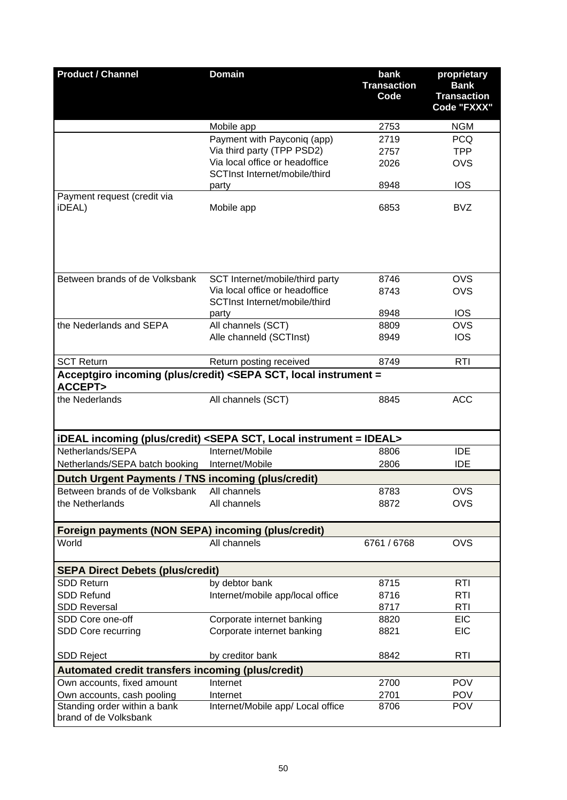| <b>Product / Channel</b>                              | <b>Domain</b>                                                                                           | bank<br><b>Transaction</b><br>Code | proprietary<br><b>Bank</b><br><b>Transaction</b><br>Code "FXXX" |
|-------------------------------------------------------|---------------------------------------------------------------------------------------------------------|------------------------------------|-----------------------------------------------------------------|
|                                                       | Mobile app                                                                                              | 2753                               | <b>NGM</b>                                                      |
|                                                       | Payment with Payconiq (app)                                                                             | 2719                               | <b>PCQ</b>                                                      |
|                                                       | Via third party (TPP PSD2)                                                                              | 2757                               | <b>TPP</b>                                                      |
|                                                       | Via local office or headoffice                                                                          | 2026                               | <b>OVS</b>                                                      |
|                                                       | SCTInst Internet/mobile/third                                                                           |                                    |                                                                 |
|                                                       | party                                                                                                   | 8948                               | <b>IOS</b>                                                      |
| Payment request (credit via<br>iDEAL)                 | Mobile app                                                                                              | 6853                               | <b>BVZ</b>                                                      |
| Between brands of de Volksbank                        | SCT Internet/mobile/third party                                                                         | 8746                               | <b>OVS</b>                                                      |
|                                                       | Via local office or headoffice<br>SCTInst Internet/mobile/third                                         | 8743                               | <b>OVS</b>                                                      |
|                                                       | party                                                                                                   | 8948                               | <b>IOS</b>                                                      |
| the Nederlands and SEPA                               | All channels (SCT)                                                                                      | 8809                               | OVS                                                             |
|                                                       | Alle channeld (SCTInst)                                                                                 | 8949                               | <b>IOS</b>                                                      |
| <b>SCT Return</b>                                     | Return posting received                                                                                 | 8749                               | <b>RTI</b>                                                      |
| <b>ACCEPT&gt;</b>                                     | Acceptgiro incoming (plus/credit) <sepa instrument="&lt;/td" local="" sct,=""><td></td><td></td></sepa> |                                    |                                                                 |
| the Nederlands                                        | All channels (SCT)                                                                                      | 8845                               | <b>ACC</b>                                                      |
|                                                       | iDEAL incoming (plus/credit) <sepa instrument="IDEAL" local="" sct,=""></sepa>                          |                                    |                                                                 |
| Netherlands/SEPA                                      | Internet/Mobile                                                                                         | 8806                               | <b>IDE</b>                                                      |
| Netherlands/SEPA batch booking                        | Internet/Mobile                                                                                         | 2806                               | <b>IDE</b>                                                      |
| Dutch Urgent Payments / TNS incoming (plus/credit)    |                                                                                                         |                                    |                                                                 |
| Between brands of de Volksbank                        | All channels                                                                                            | 8783                               | <b>OVS</b>                                                      |
| the Netherlands                                       | All channels                                                                                            | 8872                               | <b>OVS</b>                                                      |
| Foreign payments (NON SEPA) incoming (plus/credit)    |                                                                                                         |                                    |                                                                 |
| World                                                 | All channels                                                                                            | 6761 / 6768                        | <b>OVS</b>                                                      |
| <b>SEPA Direct Debets (plus/credit)</b>               |                                                                                                         |                                    |                                                                 |
| <b>SDD Return</b>                                     | by debtor bank                                                                                          | 8715                               | <b>RTI</b>                                                      |
| <b>SDD Refund</b>                                     | Internet/mobile app/local office                                                                        | 8716                               | <b>RTI</b>                                                      |
| <b>SDD Reversal</b>                                   |                                                                                                         | 8717                               | <b>RTI</b>                                                      |
| SDD Core one-off                                      | Corporate internet banking                                                                              | 8820                               | <b>EIC</b>                                                      |
| SDD Core recurring                                    | Corporate internet banking                                                                              | 8821                               | <b>EIC</b>                                                      |
| <b>SDD Reject</b>                                     | by creditor bank                                                                                        | 8842                               | <b>RTI</b>                                                      |
| Automated credit transfers incoming (plus/credit)     |                                                                                                         |                                    |                                                                 |
| Own accounts, fixed amount                            | Internet                                                                                                | 2700                               | <b>POV</b>                                                      |
| Own accounts, cash pooling                            | Internet                                                                                                | 2701                               | <b>POV</b>                                                      |
| Standing order within a bank<br>brand of de Volksbank | Internet/Mobile app/ Local office                                                                       | 8706                               | <b>POV</b>                                                      |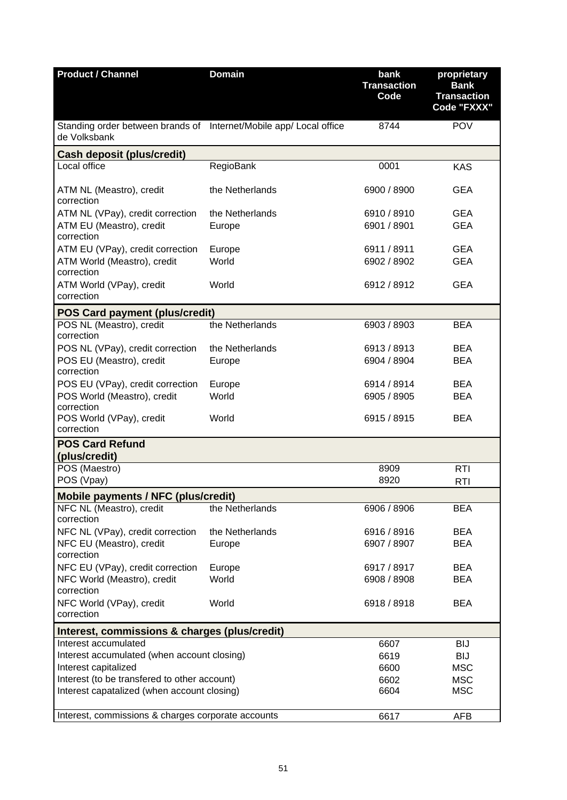| <b>Product / Channel</b>                                                                    | <b>Domain</b>             | bank<br><b>Transaction</b><br>Code | proprietary<br><b>Bank</b><br><b>Transaction</b><br>Code "FXXX" |  |
|---------------------------------------------------------------------------------------------|---------------------------|------------------------------------|-----------------------------------------------------------------|--|
| Standing order between brands of Internet/Mobile app/ Local office<br>de Volksbank          |                           | 8744                               | <b>POV</b>                                                      |  |
| <b>Cash deposit (plus/credit)</b>                                                           |                           |                                    |                                                                 |  |
| Local office                                                                                | RegioBank                 | 0001                               | <b>KAS</b>                                                      |  |
| ATM NL (Meastro), credit<br>correction                                                      | the Netherlands           | 6900 / 8900                        | <b>GEA</b>                                                      |  |
| ATM NL (VPay), credit correction<br>ATM EU (Meastro), credit<br>correction                  | the Netherlands<br>Europe | 6910 / 8910<br>6901 / 8901         | <b>GEA</b><br><b>GEA</b>                                        |  |
| ATM EU (VPay), credit correction<br>ATM World (Meastro), credit                             | Europe<br>World           | 6911 / 8911<br>6902 / 8902         | <b>GEA</b><br><b>GEA</b>                                        |  |
| correction<br>ATM World (VPay), credit<br>correction                                        | World                     | 6912 / 8912                        | <b>GEA</b>                                                      |  |
|                                                                                             |                           |                                    |                                                                 |  |
| <b>POS Card payment (plus/credit)</b><br>POS NL (Meastro), credit<br>correction             | the Netherlands           | 6903 / 8903                        | <b>BEA</b>                                                      |  |
| POS NL (VPay), credit correction<br>POS EU (Meastro), credit<br>correction                  | the Netherlands<br>Europe | 6913 / 8913<br>6904 / 8904         | <b>BEA</b><br><b>BEA</b>                                        |  |
| POS EU (VPay), credit correction<br>POS World (Meastro), credit                             | Europe<br>World           | 6914 / 8914<br>6905 / 8905         | <b>BEA</b><br><b>BEA</b>                                        |  |
| correction<br>POS World (VPay), credit<br>correction                                        | World                     | 6915 / 8915                        | <b>BEA</b>                                                      |  |
| <b>POS Card Refund</b><br>(plus/credit)                                                     |                           |                                    |                                                                 |  |
| POS (Maestro)<br>POS (Vpay)                                                                 |                           | 8909<br>8920                       | <b>RTI</b><br><b>RTI</b>                                        |  |
| <b>Mobile payments / NFC (plus/credit)</b>                                                  |                           |                                    |                                                                 |  |
| NFC NL (Meastro), credit<br>correction                                                      | the Netherlands           | 6906 / 8906                        | <b>BEA</b>                                                      |  |
| NFC NL (VPay), credit correction<br>NFC EU (Meastro), credit                                | the Netherlands<br>Europe | 6916 / 8916<br>6907 / 8907         | <b>BEA</b><br><b>BEA</b>                                        |  |
| correction<br>NFC EU (VPay), credit correction                                              | Europe                    | 6917 / 8917                        | <b>BEA</b>                                                      |  |
| NFC World (Meastro), credit<br>correction                                                   | World                     | 6908 / 8908                        | <b>BEA</b>                                                      |  |
| NFC World (VPay), credit<br>correction                                                      | World                     | 6918 / 8918                        | <b>BEA</b>                                                      |  |
| Interest, commissions & charges (plus/credit)                                               |                           |                                    |                                                                 |  |
| Interest accumulated<br>Interest accumulated (when account closing)<br>Interest capitalized |                           | 6607<br>6619<br>6600               | <b>BIJ</b><br><b>BIJ</b><br><b>MSC</b>                          |  |
| Interest (to be transfered to other account)<br>Interest capatalized (when account closing) |                           | 6602<br>6604                       | <b>MSC</b><br><b>MSC</b>                                        |  |
| Interest, commissions & charges corporate accounts                                          |                           | 6617                               | <b>AFB</b>                                                      |  |